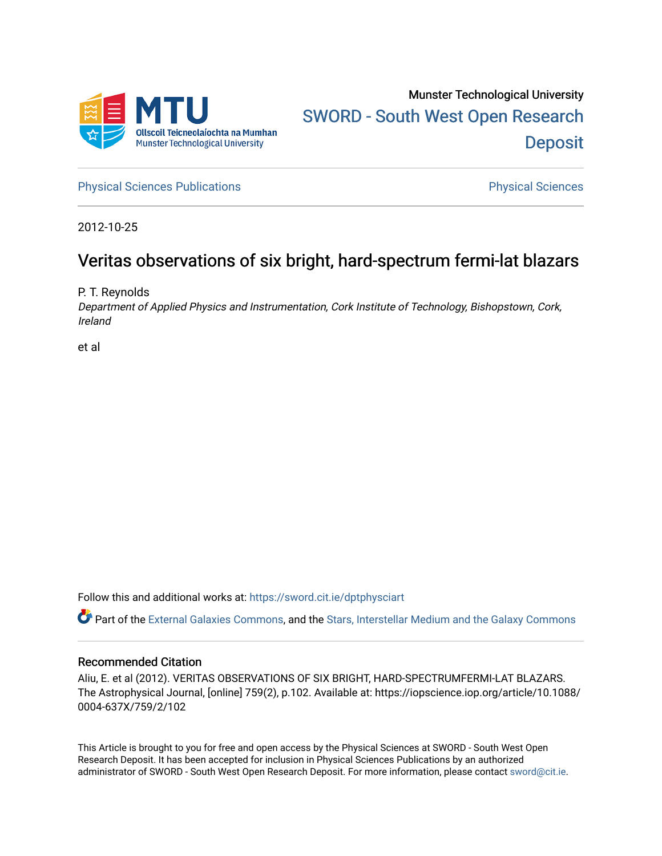

[Physical Sciences Publications](https://sword.cit.ie/dptphysciart) **Physical Sciences** Physical Sciences

2012-10-25

# Veritas observations of six bright, hard-spectrum fermi-lat blazars

P. T. Reynolds

Department of Applied Physics and Instrumentation, Cork Institute of Technology, Bishopstown, Cork, Ireland

et al

Follow this and additional works at: [https://sword.cit.ie/dptphysciart](https://sword.cit.ie/dptphysciart?utm_source=sword.cit.ie%2Fdptphysciart%2F21&utm_medium=PDF&utm_campaign=PDFCoverPages)

Part of the [External Galaxies Commons](http://network.bepress.com/hgg/discipline/128?utm_source=sword.cit.ie%2Fdptphysciart%2F21&utm_medium=PDF&utm_campaign=PDFCoverPages), and the [Stars, Interstellar Medium and the Galaxy Commons](http://network.bepress.com/hgg/discipline/127?utm_source=sword.cit.ie%2Fdptphysciart%2F21&utm_medium=PDF&utm_campaign=PDFCoverPages) 

# Recommended Citation

Aliu, E. et al (2012). VERITAS OBSERVATIONS OF SIX BRIGHT, HARD-SPECTRUMFERMI-LAT BLAZARS. The Astrophysical Journal, [online] 759(2), p.102. Available at: https://iopscience.iop.org/article/10.1088/ 0004-637X/759/2/102

This Article is brought to you for free and open access by the Physical Sciences at SWORD - South West Open Research Deposit. It has been accepted for inclusion in Physical Sciences Publications by an authorized administrator of SWORD - South West Open Research Deposit. For more information, please contact [sword@cit.ie.](mailto:sword@cit.ie)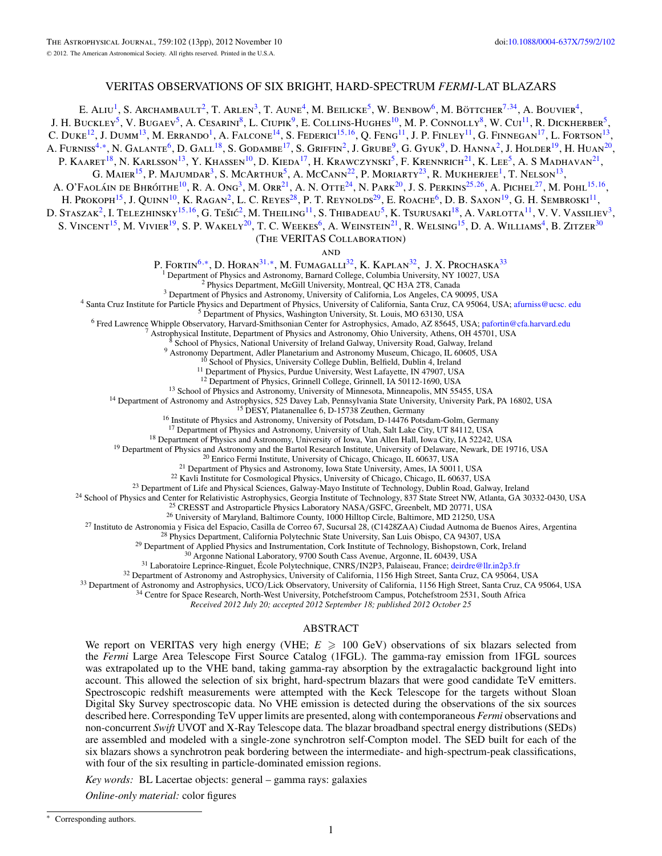## VERITAS OBSERVATIONS OF SIX BRIGHT, HARD-SPECTRUM *FERMI*-LAT BLAZARS

E. ALIU<sup>1</sup>, S. Archambault<sup>2</sup>, T. Arlen<sup>3</sup>, T. Aune<sup>4</sup>, M. Beilicke<sup>5</sup>, W. Benbow<sup>6</sup>, M. Böttcher<sup>7,34</sup>, A. Bouvier<sup>4</sup>, J. H. BUCKLEY<sup>5</sup>, V. BUGAEV<sup>5</sup>, A. CESARINI<sup>8</sup>, L. CIUPIK<sup>9</sup>, E. COLLINS-HUGHES<sup>10</sup>, M. P. CONNOLLY<sup>8</sup>, W. CUI<sup>11</sup>, R. DICKHERBER<sup>5</sup>, C. Duke<sup>12</sup>, J. Dumm<sup>13</sup>, M. Errando<sup>1</sup>, A. Falcone<sup>14</sup>, S. Federici<sup>15,16</sup>, Q. Feng<sup>11</sup>, J. P. Finley<sup>11</sup>, G. Finnegan<sup>17</sup>, L. Fortson<sup>13</sup>, A. FURNISS<sup>4,∗</sup>, N. GALANTE<sup>6</sup>, D. GALL<sup>18</sup>, S. GODAMBE<sup>17</sup>, S. GRIFFIN<sup>2</sup>, J. GRUBE<sup>9</sup>, G. GYUK<sup>9</sup>, D. HANNA<sup>2</sup>, J. HOLDER<sup>19</sup>, H. HUAN<sup>20</sup>, P. KAARET<sup>18</sup>, N. KARLSSON<sup>13</sup>, Y. KHASSEN<sup>10</sup>, D. KIEDA<sup>17</sup>, H. KRAWCZYNSKI<sup>5</sup>, F. KRENNRICH<sup>21</sup>, K. LEE<sup>5</sup>, A. S MADHAVAN<sup>21</sup>, G. MAIER<sup>15</sup>, P. MAJUMDAR<sup>3</sup>, S. MCARTHUR<sup>5</sup>, A. MCCANN<sup>22</sup>, P. MORIARTY<sup>23</sup>, R. MUKHERJEE<sup>1</sup>, T. NELSON<sup>13</sup>,

A. O'FAOLÁIN DE BHRÓITHE<sup>10</sup>, R. A. Ong<sup>3</sup>, M. Orr<sup>21</sup>, A. N. Otte<sup>24</sup>, N. Park<sup>20</sup>, J. S. Perkins<sup>25,26</sup>, A. Pichel<sup>27</sup>, M. Pohl<sup>15,16</sup>,

H. Prokoph<sup>15</sup>, J. Quinn<sup>10</sup>, K. Ragan<sup>2</sup>, L. C. Reyes<sup>28</sup>, P. T. Reynolds<sup>29</sup>, E. Roache<sup>6</sup>, D. B. Saxon<sup>19</sup>, G. H. Sembroski<sup>11</sup>,

D. Staszak<sup>2</sup>, I. Telezhinsky<sup>15,16</sup>, G. Tešić<sup>2</sup>, M. Theiling<sup>11</sup>, S. Thibadeau<sup>5</sup>, K. Tsurusaki<sup>18</sup>, A. Varlotta<sup>11</sup>, V. V. Vassiliev<sup>3</sup>, S. VINCENT<sup>15</sup>, M. VIVIER<sup>19</sup>, S. P. WAKELY<sup>20</sup>, T. C. WEEKES<sup>6</sup>, A. WEINSTEIN<sup>21</sup>, R. WELSING<sup>15</sup>, D. A. WILLIAMS<sup>4</sup>, B. ZITZER<sup>30</sup>

(The VERITAS Collaboration)

**AND** 

P. FORTIN<sup>6,∗</sup>, D. HORAN<sup>31,∗</sup>, M. FUMAGALLI<sup>32</sup>, K. KAPLAN<sup>32</sup>, J. X. PROCHASKA<sup>33</sup><sup>1</sup> Department of Physics and Astronomy, Barnard College, Columbia University, NY 10027, USA

<sup>2</sup> Physics Department, McGill University, Montreal, QC H3A 2T8, Canada<br><sup>3</sup> Department of Physics and Astronomy, University of California, Los Angeles, CA 90095, USA<br><sup>4</sup> Santa Cruz Institute for Particle Physics and Depar

<sup>13</sup> School of Physics and Astronomy, University of Minnesota, Minneapolis, MN 55455, USA<br><sup>14</sup> Department of Astronomy and Astrophysics, 525 Davey Lab, Pennsylvania State University, University Park, PA 16802, USA<br><sup>15</sup> DE

<sup>18</sup> Department of Physics and Astronomy, University of Iowa, Van Allen Hall, Iowa City, IA 52242, USA<br>
<sup>19</sup> Department of Physics and Astronomy and the Bartol Research Institute, University of Delaware, Newark, DE 19716,

*Received 2012 July 20; accepted 2012 September 18; published 2012 October 25*

#### ABSTRACT

We report on VERITAS very high energy (VHE;  $E \geqslant 100$  GeV) observations of six blazars selected from the *Fermi* Large Area Telescope First Source Catalog (1FGL). The gamma-ray emission from 1FGL sources was extrapolated up to the VHE band, taking gamma-ray absorption by the extragalactic background light into account. This allowed the selection of six bright, hard-spectrum blazars that were good candidate TeV emitters. Spectroscopic redshift measurements were attempted with the Keck Telescope for the targets without Sloan Digital Sky Survey spectroscopic data. No VHE emission is detected during the observations of the six sources described here. Corresponding TeV upper limits are presented, along with contemporaneous *Fermi* observations and non-concurrent *Swift* UVOT and X-Ray Telescope data. The blazar broadband spectral energy distributions (SEDs) are assembled and modeled with a single-zone synchrotron self-Compton model. The SED built for each of the six blazars shows a synchrotron peak bordering between the intermediate- and high-spectrum-peak classifications, with four of the six resulting in particle-dominated emission regions.

*Key words:* BL Lacertae objects: general – gamma rays: galaxies

*Online-only material:* color figures

<sup>∗</sup> Corresponding authors.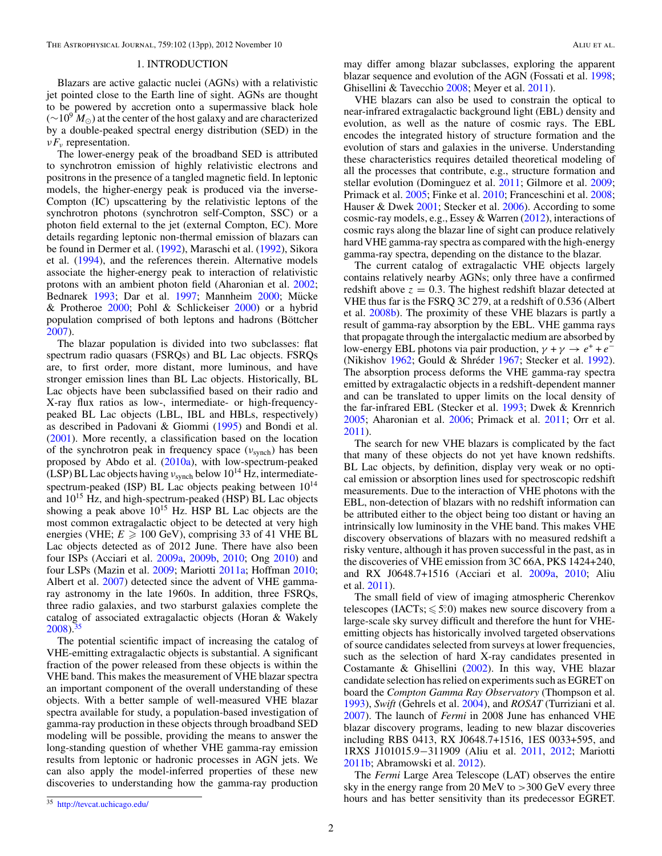#### 1. INTRODUCTION

Blazars are active galactic nuclei (AGNs) with a relativistic jet pointed close to the Earth line of sight. AGNs are thought to be powered by accretion onto a supermassive black hole  $(\sim 10^9 M_{\odot})$  at the center of the host galaxy and are characterized by a double-peaked spectral energy distribution (SED) in the *νFν* representation.

The lower-energy peak of the broadband SED is attributed to synchrotron emission of highly relativistic electrons and positrons in the presence of a tangled magnetic field. In leptonic models, the higher-energy peak is produced via the inverse-Compton (IC) upscattering by the relativistic leptons of the synchrotron photons (synchrotron self-Compton, SSC) or a photon field external to the jet (external Compton, EC). More details regarding leptonic non-thermal emission of blazars can be found in Dermer et al. [\(1992\)](#page-12-0), Maraschi et al. [\(1992\)](#page-12-0), Sikora et al. [\(1994\)](#page-13-0), and the references therein. Alternative models associate the higher-energy peak to interaction of relativistic protons with an ambient photon field (Aharonian et al. [2002;](#page-12-0) Bednarek [1993;](#page-12-0) Dar et al. [1997;](#page-12-0) Mannheim [2000;](#page-12-0) Mücke & Protheroe [2000;](#page-13-0) Pohl & Schlickeiser [2000\)](#page-13-0) or a hybrid population comprised of both leptons and hadrons (Böttcher [2007\)](#page-12-0).

The blazar population is divided into two subclasses: flat spectrum radio quasars (FSRQs) and BL Lac objects. FSRQs are, to first order, more distant, more luminous, and have stronger emission lines than BL Lac objects. Historically, BL Lac objects have been subclassified based on their radio and X-ray flux ratios as low-, intermediate- or high-frequencypeaked BL Lac objects (LBL, IBL and HBLs, respectively) as described in Padovani & Giommi [\(1995\)](#page-13-0) and Bondi et al. [\(2001\)](#page-12-0). More recently, a classification based on the location of the synchrotron peak in frequency space (*ν*synch) has been proposed by Abdo et al. [\(2010a\)](#page-12-0), with low-spectrum-peaked (LSP) BL Lac objects having  $v_{\text{synch}}$  below  $10^{14}$  Hz, intermediatespectrum-peaked (ISP) BL Lac objects peaking between  $10^{14}$ and  $10^{15}$  Hz, and high-spectrum-peaked (HSP) BL Lac objects showing a peak above  $10^{15}$  Hz. HSP BL Lac objects are the most common extragalactic object to be detected at very high energies (VHE;  $E \ge 100$  GeV), comprising 33 of 41 VHE BL Lac objects detected as of 2012 June. There have also been four ISPs (Acciari et al. [2009a,](#page-12-0) [2009b,](#page-12-0) [2010;](#page-12-0) Ong [2010\)](#page-13-0) and four LSPs (Mazin et al. [2009;](#page-13-0) Mariotti [2011a;](#page-12-0) Hoffman [2010;](#page-12-0) Albert et al. [2007\)](#page-12-0) detected since the advent of VHE gammaray astronomy in the late 1960s. In addition, three FSRQs, three radio galaxies, and two starburst galaxies complete the catalog of associated extragalactic objects (Horan & Wakely [2008\)](#page-12-0).35

The potential scientific impact of increasing the catalog of VHE-emitting extragalactic objects is substantial. A significant fraction of the power released from these objects is within the VHE band. This makes the measurement of VHE blazar spectra an important component of the overall understanding of these objects. With a better sample of well-measured VHE blazar spectra available for study, a population-based investigation of gamma-ray production in these objects through broadband SED modeling will be possible, providing the means to answer the long-standing question of whether VHE gamma-ray emission results from leptonic or hadronic processes in AGN jets. We can also apply the model-inferred properties of these new discoveries to understanding how the gamma-ray production

may differ among blazar subclasses, exploring the apparent blazar sequence and evolution of the AGN (Fossati et al. [1998;](#page-12-0) Ghisellini & Tavecchio [2008;](#page-12-0) Meyer et al. [2011\)](#page-13-0).

VHE blazars can also be used to constrain the optical to near-infrared extragalactic background light (EBL) density and evolution, as well as the nature of cosmic rays. The EBL encodes the integrated history of structure formation and the evolution of stars and galaxies in the universe. Understanding these characteristics requires detailed theoretical modeling of all the processes that contribute, e.g., structure formation and stellar evolution (Dominguez et al. [2011;](#page-12-0) Gilmore et al. [2009;](#page-12-0) Primack et al. [2005;](#page-13-0) Finke et al. [2010;](#page-12-0) Franceschini et al. [2008;](#page-12-0) Hauser & Dwek [2001;](#page-12-0) Stecker et al. [2006\)](#page-13-0). According to some cosmic-ray models, e.g., Essey & Warren [\(2012\)](#page-12-0), interactions of cosmic rays along the blazar line of sight can produce relatively hard VHE gamma-ray spectra as compared with the high-energy gamma-ray spectra, depending on the distance to the blazar.

The current catalog of extragalactic VHE objects largely contains relatively nearby AGNs; only three have a confirmed redshift above  $z = 0.3$ . The highest redshift blazar detected at VHE thus far is the FSRQ 3C 279, at a redshift of 0.536 (Albert et al. [2008b\)](#page-12-0). The proximity of these VHE blazars is partly a result of gamma-ray absorption by the EBL. VHE gamma rays that propagate through the intergalactic medium are absorbed by low-energy EBL photons via pair production,  $\gamma + \gamma \rightarrow e^+ + e^-$ (Nikishov  $1962$ ; Gould & Shréder  $1967$ ; Stecker et al. [1992\)](#page-13-0). The absorption process deforms the VHE gamma-ray spectra emitted by extragalactic objects in a redshift-dependent manner and can be translated to upper limits on the local density of the far-infrared EBL (Stecker et al. [1993;](#page-13-0) Dwek & Krennrich [2005;](#page-12-0) Aharonian et al. [2006;](#page-12-0) Primack et al. [2011;](#page-13-0) Orr et al. [2011\)](#page-13-0).

The search for new VHE blazars is complicated by the fact that many of these objects do not yet have known redshifts. BL Lac objects, by definition, display very weak or no optical emission or absorption lines used for spectroscopic redshift measurements. Due to the interaction of VHE photons with the EBL, non-detection of blazars with no redshift information can be attributed either to the object being too distant or having an intrinsically low luminosity in the VHE band. This makes VHE discovery observations of blazars with no measured redshift a risky venture, although it has proven successful in the past, as in the discoveries of VHE emission from 3C 66A, PKS 1424+240, and RX J0648.7+1516 (Acciari et al. [2009a,](#page-12-0) [2010;](#page-12-0) Aliu et al. [2011\)](#page-12-0).

The small field of view of imaging atmospheric Cherenkov telescopes (IACTs; ≤ 5°.0) makes new source discovery from a large-scale sky survey difficult and therefore the hunt for VHEemitting objects has historically involved targeted observations of source candidates selected from surveys at lower frequencies, such as the selection of hard X-ray candidates presented in Costamante & Ghisellini [\(2002\)](#page-12-0). In this way, VHE blazar candidate selection has relied on experiments such as EGRET on board the *Compton Gamma Ray Observatory* (Thompson et al. [1993\)](#page-13-0), *Swift* (Gehrels et al. [2004\)](#page-12-0), and *ROSAT* (Turriziani et al. [2007\)](#page-13-0). The launch of *Fermi* in 2008 June has enhanced VHE blazar discovery programs, leading to new blazar discoveries including RBS 0413, RX J0648.7+1516, 1ES 0033+595, and 1RXS J101015.9−311909 (Aliu et al. [2011,](#page-12-0) [2012;](#page-12-0) Mariotti [2011b;](#page-13-0) Abramowski et al. [2012\)](#page-12-0).

The *Fermi* Large Area Telescope (LAT) observes the entire sky in the energy range from 20 MeV to *>*300 GeV every three hours and has better sensitivity than its predecessor EGRET.

<sup>35</sup> <http://tevcat.uchicago.edu/>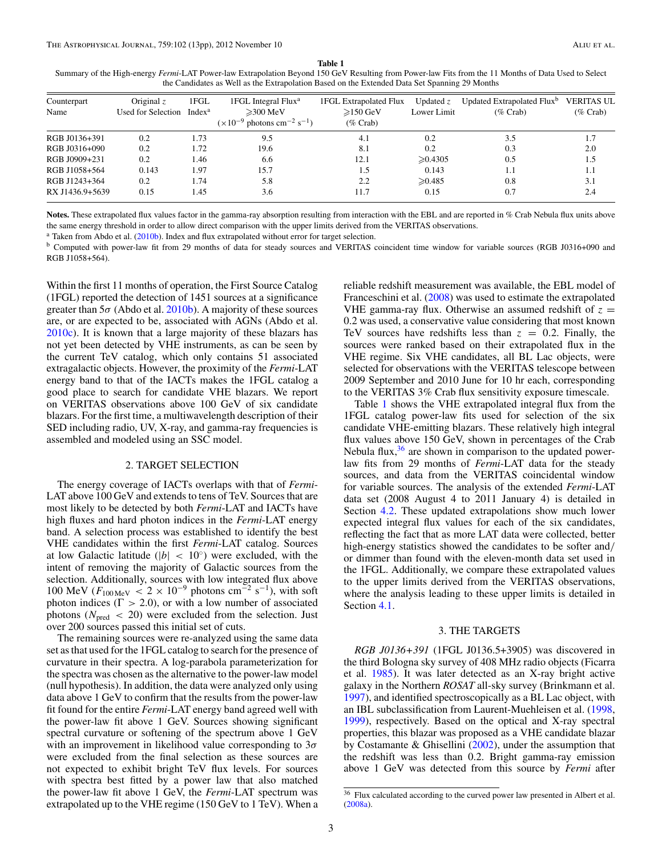**Table 1**

<span id="page-3-0"></span>Summary of the High-energy *Fermi*-LAT Power-law Extrapolation Beyond 150 GeV Resulting from Power-law Fits from the 11 Months of Data Used to Select the Candidates as Well as the Extrapolation Based on the Extended Data Set Spanning 29 Months

| Counterpart     | Original $z$       | 1FGL               | 1FGL Integral Flux <sup>a</sup>                      | 1FGL Extrapolated Flux | Updated $z$   | Updated Extrapolated Flux <sup>b</sup> | VERITAS UL  |
|-----------------|--------------------|--------------------|------------------------------------------------------|------------------------|---------------|----------------------------------------|-------------|
| Name            | Used for Selection | Index <sup>a</sup> | $\geqslant$ 300 MeV                                  | $\geqslant$ 150 GeV    | Lower Limit   | $(\%$ Crab)                            | $(\%$ Crab) |
|                 |                    |                    | ' photons $cm^{-2}$ s <sup>-1</sup> )<br>$(x10^{-9}$ | $(\%$ Crab)            |               |                                        |             |
| RGB J0136+391   | 0.2                | 1.73               | 9.5                                                  | 4.1                    | 0.2           | 3.5                                    | 1.7         |
| RGB J0316+090   | 0.2                | 1.72               | 19.6                                                 | 8.1                    | 0.2           | 0.3                                    | 2.0         |
| RGB J0909+231   | 0.2                | 1.46               | 6.6                                                  | 12.1                   | $\geq 0.4305$ | 0.5                                    | 1.5         |
| RGB J1058+564   | 0.143              | 1.97               | 15.7                                                 | 1.5                    | 0.143         | 1.1                                    | 1.1         |
| RGB J1243+364   | 0.2                | 1.74               | 5.8                                                  | $2.2\phantom{0}$       | $\geq 0.485$  | 0.8                                    | 3.1         |
| RX J1436.9+5639 | 0.15               | . 45               | 3.6                                                  | 11.7                   | 0.15          | 0.7                                    | 2.4         |

Notes. These extrapolated flux values factor in the gamma-ray absorption resulting from interaction with the EBL and are reported in % Crab Nebula flux units above the same energy threshold in order to allow direct comparison with the upper limits derived from the VERITAS observations.

<sup>a</sup> Taken from Abdo et al. [\(2010b\)](#page-12-0). Index and flux extrapolated without error for target selection.

<sup>b</sup> Computed with power-law fit from 29 months of data for steady sources and VERITAS coincident time window for variable sources (RGB J0316+090 and RGB J1058+564).

Within the first 11 months of operation, the First Source Catalog (1FGL) reported the detection of 1451 sources at a significance greater than  $5\sigma$  (Abdo et al. [2010b\)](#page-12-0). A majority of these sources are, or are expected to be, associated with AGNs (Abdo et al. [2010c\)](#page-12-0). It is known that a large majority of these blazars has not yet been detected by VHE instruments, as can be seen by the current TeV catalog, which only contains 51 associated extragalactic objects. However, the proximity of the *Fermi*-LAT energy band to that of the IACTs makes the 1FGL catalog a good place to search for candidate VHE blazars. We report on VERITAS observations above 100 GeV of six candidate blazars. For the first time, a multiwavelength description of their SED including radio, UV, X-ray, and gamma-ray frequencies is assembled and modeled using an SSC model.

### 2. TARGET SELECTION

The energy coverage of IACTs overlaps with that of *Fermi*-LAT above 100 GeV and extends to tens of TeV. Sources that are most likely to be detected by both *Fermi*-LAT and IACTs have high fluxes and hard photon indices in the *Fermi*-LAT energy band. A selection process was established to identify the best VHE candidates within the first *Fermi*-LAT catalog. Sources at low Galactic latitude ( $|b| < 10°$ ) were excluded, with the intent of removing the majority of Galactic sources from the selection. Additionally, sources with low integrated flux above 100 MeV ( $F_{100 \text{ MeV}} < 2 \times 10^{-9}$  photons cm<sup>-2</sup> s<sup>-1</sup>), with soft photon indices (Γ *>* 2.0), or with a low number of associated photons ( $N_{pred}$  < 20) were excluded from the selection. Just over 200 sources passed this initial set of cuts.

The remaining sources were re-analyzed using the same data set as that used for the 1FGL catalog to search for the presence of curvature in their spectra. A log-parabola parameterization for the spectra was chosen as the alternative to the power-law model (null hypothesis). In addition, the data were analyzed only using data above 1 GeV to confirm that the results from the power-law fit found for the entire *Fermi*-LAT energy band agreed well with the power-law fit above 1 GeV. Sources showing significant spectral curvature or softening of the spectrum above 1 GeV with an improvement in likelihood value corresponding to 3*σ* were excluded from the final selection as these sources are not expected to exhibit bright TeV flux levels. For sources with spectra best fitted by a power law that also matched the power-law fit above 1 GeV, the *Fermi*-LAT spectrum was extrapolated up to the VHE regime (150 GeV to 1 TeV). When a

reliable redshift measurement was available, the EBL model of Franceschini et al. [\(2008\)](#page-12-0) was used to estimate the extrapolated VHE gamma-ray flux. Otherwise an assumed redshift of  $z =$ 0.2 was used, a conservative value considering that most known TeV sources have redshifts less than  $z = 0.2$ . Finally, the sources were ranked based on their extrapolated flux in the VHE regime. Six VHE candidates, all BL Lac objects, were selected for observations with the VERITAS telescope between 2009 September and 2010 June for 10 hr each, corresponding to the VERITAS 3% Crab flux sensitivity exposure timescale.

Table 1 shows the VHE extrapolated integral flux from the 1FGL catalog power-law fits used for selection of the six candidate VHE-emitting blazars. These relatively high integral flux values above 150 GeV, shown in percentages of the Crab Nebula flux, $36$  are shown in comparison to the updated powerlaw fits from 29 months of *Fermi*-LAT data for the steady sources, and data from the VERITAS coincidental window for variable sources. The analysis of the extended *Fermi*-LAT data set (2008 August 4 to 2011 January 4) is detailed in Section [4.2.](#page-5-0) These updated extrapolations show much lower expected integral flux values for each of the six candidates, reflecting the fact that as more LAT data were collected, better high-energy statistics showed the candidates to be softer and*/* or dimmer than found with the eleven-month data set used in the 1FGL. Additionally, we compare these extrapolated values to the upper limits derived from the VERITAS observations, where the analysis leading to these upper limits is detailed in Section [4.1.](#page-5-0)

#### 3. THE TARGETS

*RGB J0136+391* (1FGL J0136.5+3905) was discovered in the third Bologna sky survey of 408 MHz radio objects (Ficarra et al. [1985\)](#page-12-0). It was later detected as an X-ray bright active galaxy in the Northern *ROSAT* all-sky survey (Brinkmann et al. [1997\)](#page-12-0), and identified spectroscopically as a BL Lac object, with an IBL subclassification from Laurent-Muehleisen et al. [\(1998,](#page-12-0) [1999\)](#page-12-0), respectively. Based on the optical and X-ray spectral properties, this blazar was proposed as a VHE candidate blazar by Costamante & Ghisellini [\(2002\)](#page-12-0), under the assumption that the redshift was less than 0.2. Bright gamma-ray emission above 1 GeV was detected from this source by *Fermi* after

<sup>36</sup> Flux calculated according to the curved power law presented in Albert et al. [\(2008a\)](#page-12-0).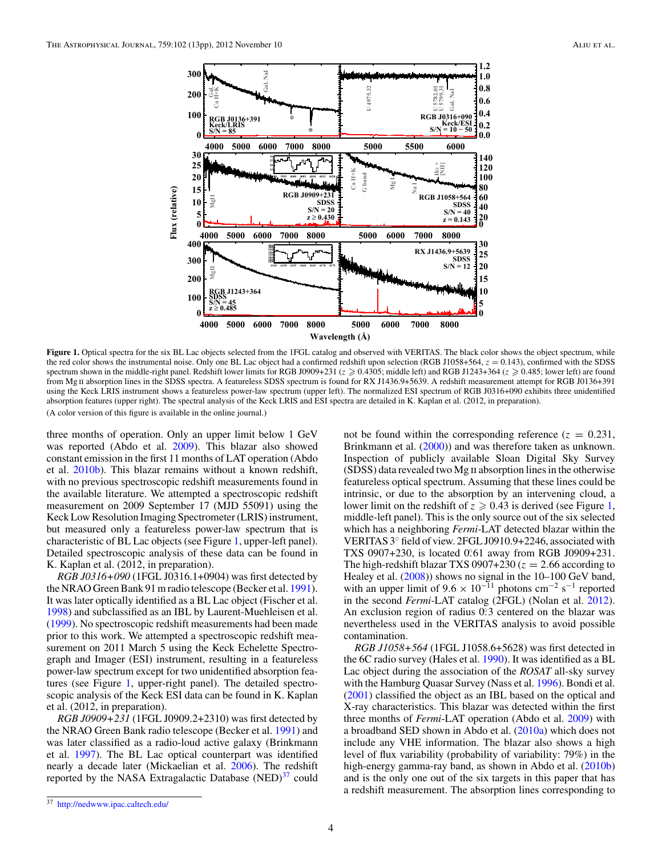<span id="page-4-0"></span>

Figure 1. Optical spectra for the six BL Lac objects selected from the 1FGL catalog and observed with VERITAS. The black color shows the object spectrum, while the red color shows the instrumental noise. Only one BL Lac object had a confirmed redshift upon selection (RGB J1058+564,  $z = 0.143$ ), confirmed with the SDSS spectrum shown in the middle-right panel. Redshift lower limits for RGB J0909+231 ( $z \geqslant 0.4305$ ; middle left) and RGB J1243+364 ( $z \geqslant 0.485$ ; lower left) are found from Mg II absorption lines in the SDSS spectra. A featureless SDSS spectrum is found for RX J1436.9+5639. A redshift measurement attempt for RGB J0136+391 using the Keck LRIS instrument shows a featureless power-law spectrum (upper left). The normalized ESI spectrum of RGB J0316+090 exhibits three unidentified absorption features (upper right). The spectral analysis of the Keck LRIS and ESI spectra are detailed in K. Kaplan et al. (2012, in preparation). (A color version of this figure is available in the online journal.)

three months of operation. Only an upper limit below 1 GeV was reported (Abdo et al. [2009\)](#page-12-0). This blazar also showed constant emission in the first 11 months of LAT operation (Abdo et al. [2010b\)](#page-12-0). This blazar remains without a known redshift, with no previous spectroscopic redshift measurements found in the available literature. We attempted a spectroscopic redshift measurement on 2009 September 17 (MJD 55091) using the Keck Low Resolution Imaging Spectrometer (LRIS) instrument, but measured only a featureless power-law spectrum that is characteristic of BL Lac objects (see Figure 1, upper-left panel). Detailed spectroscopic analysis of these data can be found in K. Kaplan et al. (2012, in preparation).

*RGB J0316+090* (1FGL J0316.1+0904) was first detected by the NRAO Green Bank 91 m radio telescope (Becker et al. [1991\)](#page-12-0). It was later optically identified as a BL Lac object (Fischer et al. [1998\)](#page-12-0) and subclassified as an IBL by Laurent-Muehleisen et al. [\(1999\)](#page-12-0). No spectroscopic redshift measurements had been made prior to this work. We attempted a spectroscopic redshift measurement on 2011 March 5 using the Keck Echelette Spectrograph and Imager (ESI) instrument, resulting in a featureless power-law spectrum except for two unidentified absorption features (see Figure 1, upper-right panel). The detailed spectroscopic analysis of the Keck ESI data can be found in K. Kaplan et al. (2012, in preparation).

*RGB J0909+231* (1FGL J0909.2+2310) was first detected by the NRAO Green Bank radio telescope (Becker et al. [1991\)](#page-12-0) and was later classified as a radio-loud active galaxy (Brinkmann et al. [1997\)](#page-12-0). The BL Lac optical counterpart was identified nearly a decade later (Mickaelian et al. [2006\)](#page-13-0). The redshift reported by the NASA Extragalactic Database  $(NED)^{37}$  could not be found within the corresponding reference  $(z = 0.231,$ Brinkmann et al. [\(2000\)](#page-12-0)) and was therefore taken as unknown. Inspection of publicly available Sloan Digital Sky Survey (SDSS) data revealed two Mg ii absorption lines in the otherwise featureless optical spectrum. Assuming that these lines could be intrinsic, or due to the absorption by an intervening cloud, a lower limit on the redshift of  $z \ge 0.43$  is derived (see Figure 1, middle-left panel). This is the only source out of the six selected which has a neighboring *Fermi*-LAT detected blazar within the VERITAS 3◦ field of view. 2FGL J0910.9+2246, associated with TXS 0907+230, is located 0*.* ◦61 away from RGB J0909+231. The high-redshift blazar TXS 0907+230 ( $z = 2.66$  according to Healey et al. [\(2008\)](#page-12-0)) shows no signal in the 10–100 GeV band, with an upper limit of  $9.6 \times 10^{-11}$  photons cm<sup>-2</sup> s<sup>-1</sup> reported in the second *Fermi*-LAT catalog (2FGL) (Nolan et al. [2012\)](#page-13-0). An exclusion region of radius 0.3 centered on the blazar was nevertheless used in the VERITAS analysis to avoid possible contamination.

*RGB J1058+564* (1FGL J1058.6+5628) was first detected in the 6C radio survey (Hales et al. [1990\)](#page-12-0). It was identified as a BL Lac object during the association of the *ROSAT* all-sky survey with the Hamburg Quasar Survey (Nass et al. [1996\)](#page-13-0). Bondi et al. [\(2001\)](#page-12-0) classified the object as an IBL based on the optical and X-ray characteristics. This blazar was detected within the first three months of *Fermi*-LAT operation (Abdo et al. [2009\)](#page-12-0) with a broadband SED shown in Abdo et al. [\(2010a\)](#page-12-0) which does not include any VHE information. The blazar also shows a high level of flux variability (probability of variability: 79%) in the high-energy gamma-ray band, as shown in Abdo et al. [\(2010b\)](#page-12-0) and is the only one out of the six targets in this paper that has a redshift measurement. The absorption lines corresponding to

<sup>37</sup> <http://nedwww.ipac.caltech.edu/>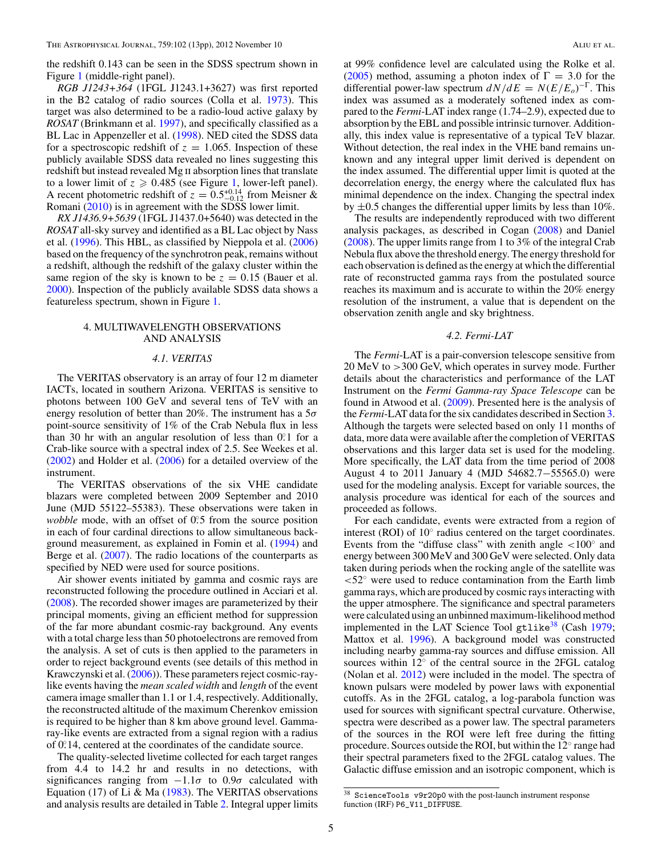<span id="page-5-0"></span>the redshift 0.143 can be seen in the SDSS spectrum shown in Figure [1](#page-4-0) (middle-right panel).

*RGB J1243+364* (1FGL J1243.1+3627) was first reported in the B2 catalog of radio sources (Colla et al. [1973\)](#page-12-0). This target was also determined to be a radio-loud active galaxy by *ROSAT* (Brinkmann et al. [1997\)](#page-12-0), and specifically classified as a BL Lac in Appenzeller et al. [\(1998\)](#page-12-0). NED cited the SDSS data for a spectroscopic redshift of  $z = 1.065$ . Inspection of these publicly available SDSS data revealed no lines suggesting this redshift but instead revealed Mg ii absorption lines that translate to a lower limit of  $z \ge 0.485$  (see Figure [1,](#page-4-0) lower-left panel). A recent photometric redshift of  $z = 0.5^{+0.14}_{-0.12}$  from Meisner & Romani [\(2010\)](#page-13-0) is in agreement with the SDSS lower limit.

*RX J1436.9+5639* (1FGL J1437.0+5640) was detected in the *ROSAT* all-sky survey and identified as a BL Lac object by Nass et al. [\(1996\)](#page-13-0). This HBL, as classified by Nieppola et al. [\(2006\)](#page-13-0) based on the frequency of the synchrotron peak, remains without a redshift, although the redshift of the galaxy cluster within the same region of the sky is known to be  $z = 0.15$  (Bauer et al. [2000\)](#page-12-0). Inspection of the publicly available SDSS data shows a featureless spectrum, shown in Figure [1.](#page-4-0)

#### 4. MULTIWAVELENGTH OBSERVATIONS AND ANALYSIS

#### *4.1. VERITAS*

The VERITAS observatory is an array of four 12 m diameter IACTs, located in southern Arizona. VERITAS is sensitive to photons between 100 GeV and several tens of TeV with an energy resolution of better than 20%. The instrument has a 5*σ* point-source sensitivity of 1% of the Crab Nebula flux in less than 30 hr with an angular resolution of less than 0.<sup>2</sup> 1 for a Crab-like source with a spectral index of 2.5. See Weekes et al. [\(2002\)](#page-13-0) and Holder et al. [\(2006\)](#page-12-0) for a detailed overview of the instrument.

The VERITAS observations of the six VHE candidate blazars were completed between 2009 September and 2010 June (MJD 55122–55383). These observations were taken in *wobble* mode, with an offset of 0.5 from the source position in each of four cardinal directions to allow simultaneous background measurement, as explained in Fomin et al. [\(1994\)](#page-12-0) and Berge et al. [\(2007\)](#page-12-0). The radio locations of the counterparts as specified by NED were used for source positions.

Air shower events initiated by gamma and cosmic rays are reconstructed following the procedure outlined in Acciari et al. [\(2008\)](#page-12-0). The recorded shower images are parameterized by their principal moments, giving an efficient method for suppression of the far more abundant cosmic-ray background. Any events with a total charge less than 50 photoelectrons are removed from the analysis. A set of cuts is then applied to the parameters in order to reject background events (see details of this method in Krawczynski et al. [\(2006\)](#page-12-0)). These parameters reject cosmic-raylike events having the *mean scaled width* and *length* of the event camera image smaller than 1.1 or 1.4, respectively. Additionally, the reconstructed altitude of the maximum Cherenkov emission is required to be higher than 8 km above ground level. Gammaray-like events are extracted from a signal region with a radius of 0*.* ◦14, centered at the coordinates of the candidate source.

The quality-selected livetime collected for each target ranges from 4.4 to 14.2 hr and results in no detections, with significances ranging from −1.1*σ* to 0.9*σ* calculated with Equation (17) of Li & Ma  $(1983)$ . The VERITAS observations and analysis results are detailed in Table [2.](#page-6-0) Integral upper limits

at 99% confidence level are calculated using the Rolke et al. [\(2005\)](#page-13-0) method, assuming a photon index of  $\Gamma = 3.0$  for the differential power-law spectrum  $dN/dE = N(E/E_o)^{-\Gamma}$ . This index was assumed as a moderately softened index as compared to the *Fermi*-LAT index range (1.74–2.9), expected due to absorption by the EBL and possible intrinsic turnover. Additionally, this index value is representative of a typical TeV blazar. Without detection, the real index in the VHE band remains unknown and any integral upper limit derived is dependent on the index assumed. The differential upper limit is quoted at the decorrelation energy, the energy where the calculated flux has minimal dependence on the index. Changing the spectral index by  $\pm 0.5$  changes the differential upper limits by less than 10%.

The results are independently reproduced with two different analysis packages, as described in Cogan [\(2008\)](#page-12-0) and Daniel [\(2008\)](#page-12-0). The upper limits range from 1 to 3% of the integral Crab Nebula flux above the threshold energy. The energy threshold for each observation is defined as the energy at which the differential rate of reconstructed gamma rays from the postulated source reaches its maximum and is accurate to within the 20% energy resolution of the instrument, a value that is dependent on the observation zenith angle and sky brightness.

#### *4.2. Fermi-LAT*

The *Fermi*-LAT is a pair-conversion telescope sensitive from 20 MeV to *>*300 GeV, which operates in survey mode. Further details about the characteristics and performance of the LAT Instrument on the *Fermi Gamma-ray Space Telescope* can be found in Atwood et al. [\(2009\)](#page-12-0). Presented here is the analysis of the *Fermi*-LAT data for the six candidates described in Section [3.](#page-3-0) Although the targets were selected based on only 11 months of data, more data were available after the completion of VERITAS observations and this larger data set is used for the modeling. More specifically, the LAT data from the time period of 2008 August 4 to 2011 January 4 (MJD 54682.7−55565.0) were used for the modeling analysis. Except for variable sources, the analysis procedure was identical for each of the sources and proceeded as follows.

For each candidate, events were extracted from a region of interest (ROI) of 10◦ radius centered on the target coordinates. Events from the "diffuse class" with zenith angle *<*100◦ and energy between 300 MeV and 300 GeV were selected. Only data taken during periods when the rocking angle of the satellite was *<*52◦ were used to reduce contamination from the Earth limb gamma rays, which are produced by cosmic rays interacting with the upper atmosphere. The significance and spectral parameters were calculated using an unbinned maximum-likelihood method implemented in the LAT Science Tool gtlike<sup>38</sup> (Cash [1979;](#page-12-0) Mattox et al. [1996\)](#page-13-0). A background model was constructed including nearby gamma-ray sources and diffuse emission. All sources within 12<sup>°</sup> of the central source in the 2FGL catalog (Nolan et al. [2012\)](#page-13-0) were included in the model. The spectra of known pulsars were modeled by power laws with exponential cutoffs. As in the 2FGL catalog, a log-parabola function was used for sources with significant spectral curvature. Otherwise, spectra were described as a power law. The spectral parameters of the sources in the ROI were left free during the fitting procedure. Sources outside the ROI, but within the 12◦ range had their spectral parameters fixed to the 2FGL catalog values. The Galactic diffuse emission and an isotropic component, which is

<sup>38</sup> ScienceTools v9r20p0 with the post-launch instrument response function (IRF) P6\_V11\_DIFFUSE.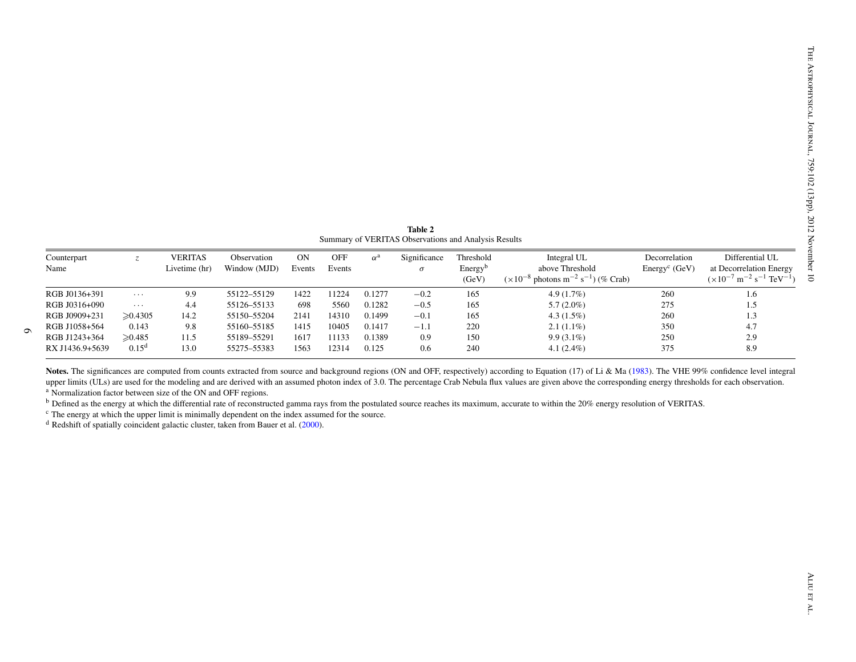<span id="page-6-0"></span>

| Counterpart<br>Name                                                                                                                                                                                                                                                                        | $\mathcal Z$  | <b>VERITAS</b><br>Livetime (hr) | Observation<br>Window (MJD) | ON<br>Events | OFF<br>Events | $\alpha^{\rm a}$ | Significance<br>$\sigma$ | Threshold<br>Energy <sup>b</sup><br>(GeV) | Integral UL<br>above Threshold<br>$(\times 10^{-8}$ photons m <sup>-2</sup> s <sup>-1</sup> ) (% Crab)                                                                                                                                                                                                                                                                                                                       | Decorrelation<br>Energy <sup>c</sup> (GeV) | Differential UL<br>at Decorrelation Energy<br>$(\times 10^{-7} \text{ m}^{-2} \text{ s}^{-1} \text{ TeV}^{-1})$ |
|--------------------------------------------------------------------------------------------------------------------------------------------------------------------------------------------------------------------------------------------------------------------------------------------|---------------|---------------------------------|-----------------------------|--------------|---------------|------------------|--------------------------|-------------------------------------------|------------------------------------------------------------------------------------------------------------------------------------------------------------------------------------------------------------------------------------------------------------------------------------------------------------------------------------------------------------------------------------------------------------------------------|--------------------------------------------|-----------------------------------------------------------------------------------------------------------------|
| RGB J0136+391                                                                                                                                                                                                                                                                              | $\ldots$ .    | 9.9                             | 55122-55129                 | 1422         | 11224         | 0.1277           | $-0.2$                   | 165                                       | 4.9(1.7%)                                                                                                                                                                                                                                                                                                                                                                                                                    | 260                                        | 1.6                                                                                                             |
| RGB J0316+090                                                                                                                                                                                                                                                                              | $\ldots$ .    | 4.4                             | 55126-55133                 | 698          | 5560          | 0.1282           | $-0.5$                   | 165                                       | $5.7(2.0\%)$                                                                                                                                                                                                                                                                                                                                                                                                                 | 275                                        | 1.5                                                                                                             |
| RGB J0909+231                                                                                                                                                                                                                                                                              | $\geq 0.4305$ | 14.2                            | 55150-55204                 | 2141         | 14310         | 0.1499           | $-0.1$                   | 165                                       | 4.3 $(1.5\%)$                                                                                                                                                                                                                                                                                                                                                                                                                | 260                                        | 1.3                                                                                                             |
| RGB J1058+564                                                                                                                                                                                                                                                                              | 0.143         | 9.8                             | 55160-55185                 | 1415         | 10405         | 0.1417           | $-1.1$                   | 220                                       | $2.1(1.1\%)$                                                                                                                                                                                                                                                                                                                                                                                                                 | 350                                        | 4.7                                                                                                             |
| RGB J1243+364                                                                                                                                                                                                                                                                              | $\ge 0.485$   | 11.5                            | 55189-55291                 | 1617         | 11133         | 0.1389           | 0.9                      | 150                                       | $9.9(3.1\%)$                                                                                                                                                                                                                                                                                                                                                                                                                 | 250                                        | 2.9                                                                                                             |
| RX J1436.9+5639                                                                                                                                                                                                                                                                            | $0.15^{d}$    | 13.0                            | 55275-55383                 | 1563         | 12314         | 0.125            | 0.6                      | 240                                       | 4.1 $(2.4\%)$                                                                                                                                                                                                                                                                                                                                                                                                                | 375                                        | 8.9                                                                                                             |
| <sup>a</sup> Normalization factor between size of the ON and OFF regions.<br><sup>c</sup> The energy at which the upper limit is minimally dependent on the index assumed for the source.<br>$^{\rm d}$ Redshift of spatially coincident galactic cluster, taken from Bauer et al. (2000). |               |                                 |                             |              |               |                  |                          |                                           | upper limits (ULs) are used for the modeling and are derived with an assumed photon index of 3.0. The percentage Crab Nebula flux values are given above the corresponding energy thresholds for each observation.<br><sup>b</sup> Defined as the energy at which the differential rate of reconstructed gamma rays from the postulated source reaches its maximum, accurate to within the 20% energy resolution of VERITAS. |                                            |                                                                                                                 |
|                                                                                                                                                                                                                                                                                            |               |                                 |                             |              |               |                  |                          |                                           |                                                                                                                                                                                                                                                                                                                                                                                                                              |                                            |                                                                                                                 |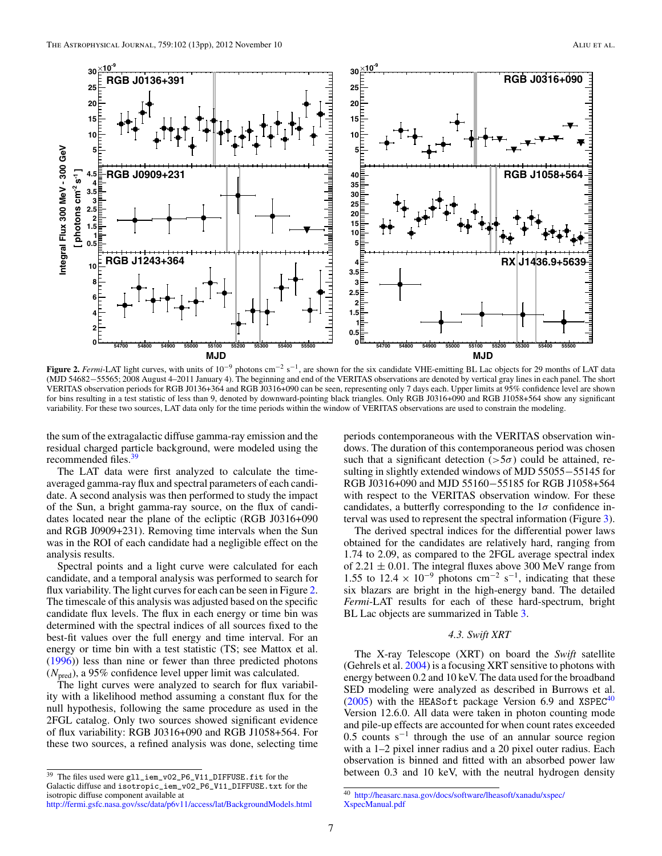

**Figure 2.** *Fermi*-LAT light curves, with units of 10−<sup>9</sup> photons cm−<sup>2</sup> s−1, are shown for the six candidate VHE-emitting BL Lac objects for 29 months of LAT data (MJD 54682−55565; 2008 August 4–2011 January 4). The beginning and end of the VERITAS observations are denoted by vertical gray lines in each panel. The short VERITAS observation periods for RGB J0136+364 and RGB J0316+090 can be seen, representing only 7 days each. Upper limits at 95% confidence level are shown for bins resulting in a test statistic of less than 9, denoted by downward-pointing black triangles. Only RGB J0316+090 and RGB J1058+564 show any significant variability. For these two sources, LAT data only for the time periods within the window of VERITAS observations are used to constrain the modeling.

the sum of the extragalactic diffuse gamma-ray emission and the residual charged particle background, were modeled using the recommended files.<sup>39</sup>

The LAT data were first analyzed to calculate the timeaveraged gamma-ray flux and spectral parameters of each candidate. A second analysis was then performed to study the impact of the Sun, a bright gamma-ray source, on the flux of candidates located near the plane of the ecliptic (RGB J0316+090 and RGB J0909+231). Removing time intervals when the Sun was in the ROI of each candidate had a negligible effect on the analysis results.

Spectral points and a light curve were calculated for each candidate, and a temporal analysis was performed to search for flux variability. The light curves for each can be seen in Figure 2. The timescale of this analysis was adjusted based on the specific candidate flux levels. The flux in each energy or time bin was determined with the spectral indices of all sources fixed to the best-fit values over the full energy and time interval. For an energy or time bin with a test statistic (TS; see Mattox et al. [\(1996\)](#page-13-0)) less than nine or fewer than three predicted photons  $(N<sub>pred</sub>)$ , a 95% confidence level upper limit was calculated.

The light curves were analyzed to search for flux variability with a likelihood method assuming a constant flux for the null hypothesis, following the same procedure as used in the 2FGL catalog. Only two sources showed significant evidence of flux variability: RGB J0316+090 and RGB J1058+564. For these two sources, a refined analysis was done, selecting time

<sup>39</sup> The files used were gll\_iem\_v02\_P6\_V11\_DIFFUSE.fit for the Galactic diffuse and isotropic\_iem\_v02\_P6\_V11\_DIFFUSE.txt for the periods contemporaneous with the VERITAS observation windows. The duration of this contemporaneous period was chosen such that a significant detection  $(55\sigma)$  could be attained, resulting in slightly extended windows of MJD 55055−55145 for RGB J0316+090 and MJD 55160−55185 for RGB J1058+564 with respect to the VERITAS observation window. For these candidates, a butterfly corresponding to the  $1\sigma$  confidence interval was used to represent the spectral information (Figure [3\)](#page-8-0).

The derived spectral indices for the differential power laws obtained for the candidates are relatively hard, ranging from 1.74 to 2.09, as compared to the 2FGL average spectral index of 2.21  $\pm$  0.01. The integral fluxes above 300 MeV range from 1.55 to 12.4  $\times$  10<sup>-9</sup> photons cm<sup>-2</sup> s<sup>-1</sup>, indicating that these six blazars are bright in the high-energy band. The detailed *Fermi*-LAT results for each of these hard-spectrum, bright BL Lac objects are summarized in Table [3.](#page-8-0)

#### *4.3. Swift XRT*

The X-ray Telescope (XRT) on board the *Swift* satellite (Gehrels et al. [2004\)](#page-12-0) is a focusing XRT sensitive to photons with energy between 0.2 and 10 keV. The data used for the broadband SED modeling were analyzed as described in Burrows et al.  $(2005)$  with the HEASoft package Version 6.9 and XSPEC<sup>40</sup> Version 12.6.0. All data were taken in photon counting mode and pile-up effects are accounted for when count rates exceeded 0.5 counts s<sup>-1</sup> through the use of an annular source region with a 1–2 pixel inner radius and a 20 pixel outer radius. Each observation is binned and fitted with an absorbed power law between 0.3 and 10 keV, with the neutral hydrogen density

isotropic diffuse component available at <http://fermi.gsfc.nasa.gov/ssc/data/p6v11/access/lat/BackgroundModels.html>

<sup>40</sup> [http://heasarc.nasa.gov/docs/software/lheasoft/xanadu/xspec/](http://heasarc.nasa.gov/docs/software/lheasoft/xanadu/xspec/XspecManual.pdf) [XspecManual.pdf](http://heasarc.nasa.gov/docs/software/lheasoft/xanadu/xspec/XspecManual.pdf)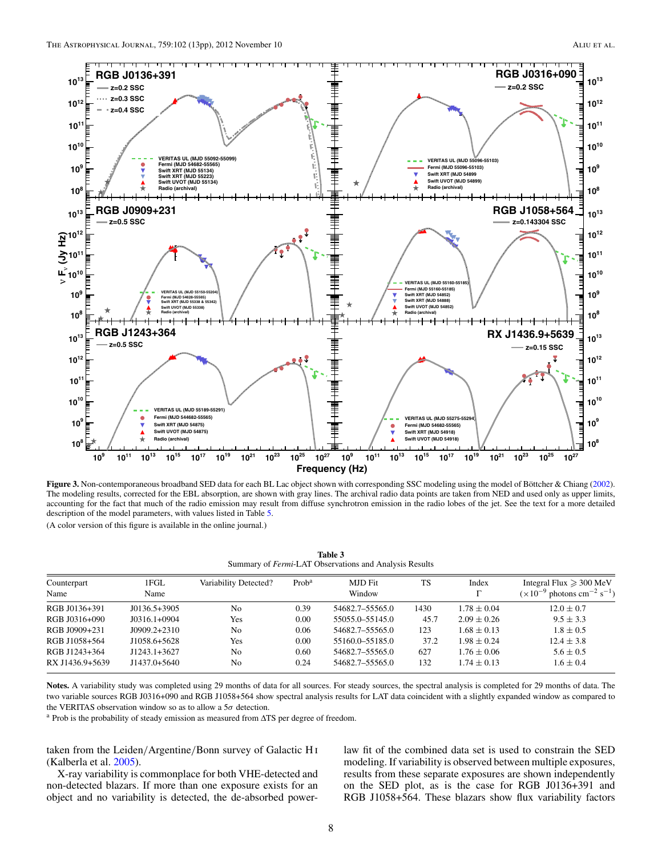<span id="page-8-0"></span>

Figure 3. Non-contemporaneous broadband SED data for each BL Lac object shown with corresponding SSC modeling using the model of Böttcher & Chiang ([2002\)](#page-12-0). The modeling results, corrected for the EBL absorption, are shown with gray lines. The archival radio data points are taken from NED and used only as upper limits, accounting for the fact that much of the radio emission may result from diffuse synchrotron emission in the radio lobes of the jet. See the text for a more detailed description of the model parameters, with values listed in Table [5.](#page-10-0)

(A color version of this figure is available in the online journal.)

|                                                        | Table 3 |  |
|--------------------------------------------------------|---------|--|
| Summary of Fermi-LAT Observations and Analysis Results |         |  |

| Counterpart     | 1FGL             | Variability Detected? | Prob <sup>a</sup> | <b>MJD</b> Fit  | TS   | Index           | Integral Flux $\geqslant$ 300 MeV                            |
|-----------------|------------------|-----------------------|-------------------|-----------------|------|-----------------|--------------------------------------------------------------|
| Name            | Name             |                       |                   | Window          |      |                 | $(\times 10^{-9}$ photons cm <sup>-2</sup> s <sup>-1</sup> ) |
| RGB J0136+391   | $J0136.5+3905$   | No                    | 0.39              | 54682.7-55565.0 | 1430 | $1.78 \pm 0.04$ | $12.0 \pm 0.7$                                               |
| RGB J0316+090   | $J0316.1+0904$   | Yes                   | 0.00              | 55055.0-55145.0 | 45.7 | $2.09 \pm 0.26$ | $9.5 + 3.3$                                                  |
| RGB J0909+231   | $J0909.2+2310$   | No                    | 0.06              | 54682.7-55565.0 | 123  | $1.68 \pm 0.13$ | $1.8 \pm 0.5$                                                |
| RGB J1058+564   | $J1058.6 + 5628$ | Yes                   | 0.00              | 55160.0-55185.0 | 37.2 | $1.98 \pm 0.24$ | $12.4 \pm 3.8$                                               |
| RGB J1243+364   | $J1243.1+3627$   | N <sub>0</sub>        | 0.60              | 54682.7-55565.0 | 627  | $1.76 \pm 0.06$ | $5.6 \pm 0.5$                                                |
| RX J1436.9+5639 | $J1437.0+5640$   | No                    | 0.24              | 54682.7-55565.0 | 132  | $1.74 \pm 0.13$ | $1.6 \pm 0.4$                                                |

Notes. A variability study was completed using 29 months of data for all sources. For steady sources, the spectral analysis is completed for 29 months of data. The two variable sources RGB J0316+090 and RGB J1058+564 show spectral analysis results for LAT data coincident with a slightly expanded window as compared to the VERITAS observation window so as to allow a 5*σ* detection.

<sup>a</sup> Prob is the probability of steady emission as measured from ΔTS per degree of freedom.

taken from the Leiden*/*Argentine*/*Bonn survey of Galactic H i (Kalberla et al. [2005\)](#page-12-0).

X-ray variability is commonplace for both VHE-detected and non-detected blazars. If more than one exposure exists for an object and no variability is detected, the de-absorbed powerlaw fit of the combined data set is used to constrain the SED modeling. If variability is observed between multiple exposures, results from these separate exposures are shown independently on the SED plot, as is the case for RGB J0136+391 and RGB J1058+564. These blazars show flux variability factors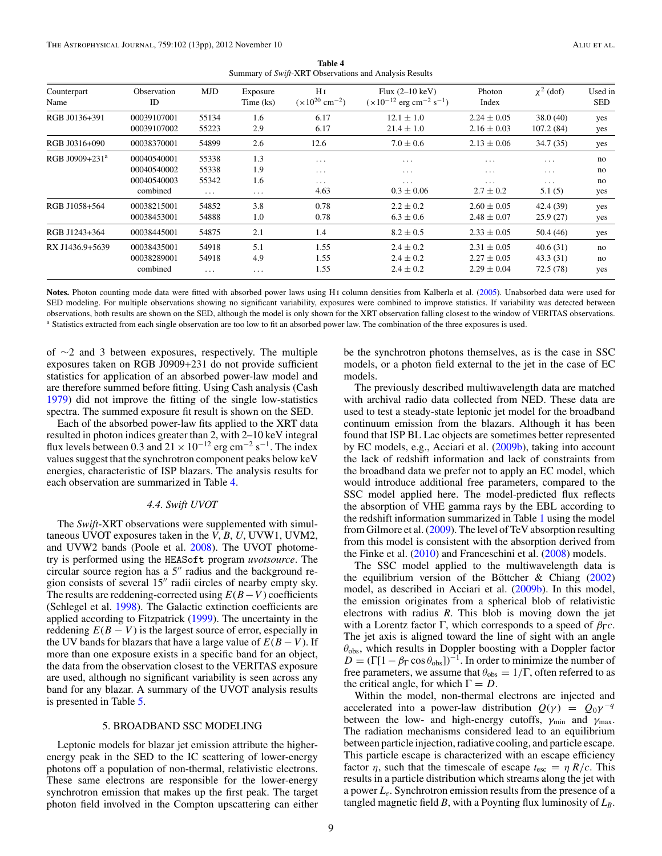| Counterpart<br>Name        | Observation<br>ID | <b>MJD</b> | Exposure<br>Time (ks) | Нı<br>$(\times 10^{20}$ cm <sup>-2</sup> ) | Flux $(2-10 \text{ keV})$<br>$(\times 10^{-12}$ erg cm <sup>-2</sup> s <sup>-1</sup> ) | Photon<br>Index | $\chi^2$ (dof) | Used in<br><b>SED</b> |
|----------------------------|-------------------|------------|-----------------------|--------------------------------------------|----------------------------------------------------------------------------------------|-----------------|----------------|-----------------------|
| RGB J0136+391              | 00039107001       | 55134      | 1.6                   | 6.17                                       | $12.1 \pm 1.0$                                                                         | $2.24 \pm 0.05$ | 38.0(40)       | yes                   |
|                            | 00039107002       | 55223      | 2.9                   | 6.17                                       | $21.4 \pm 1.0$                                                                         | $2.16 \pm 0.03$ | 107.2(84)      | yes                   |
| RGB J0316+090              | 00038370001       | 54899      | 2.6                   | 12.6                                       | $7.0 \pm 0.6$                                                                          | $2.13 \pm 0.06$ | 34.7(35)       | yes                   |
| RGB J0909+231 <sup>a</sup> | 00040540001       | 55338      | 1.3                   | $\cdots$                                   | $\cdots$                                                                               | $\cdots$        | $\cdots$       | no                    |
|                            | 00040540002       | 55338      | 1.9                   | $\cdots$                                   | $\cdots$                                                                               | $\cdots$        | $\cdots$       | no                    |
|                            | 00040540003       | 55342      | 1.6                   | $\cdots$                                   | $\cdots$                                                                               | $\cdots$        | $\cdots$       | no                    |
|                            | combined          | $\cdots$   | $\cdots$              | 4.63                                       | $0.3 \pm 0.06$                                                                         | $2.7 \pm 0.2$   | 5.1(5)         | yes                   |
| RGB J1058+564              | 00038215001       | 54852      | 3.8                   | 0.78                                       | $2.2 \pm 0.2$                                                                          | $2.60 \pm 0.05$ | 42.4 (39)      | yes                   |
|                            | 00038453001       | 54888      | 1.0                   | 0.78                                       | $6.3 \pm 0.6$                                                                          | $2.48 \pm 0.07$ | 25.9(27)       | yes                   |
| RGB J1243+364              | 00038445001       | 54875      | 2.1                   | 1.4                                        | $8.2 \pm 0.5$                                                                          | $2.33 \pm 0.05$ | 50.4(46)       | yes                   |
| RX J1436.9+5639            | 00038435001       | 54918      | 5.1                   | 1.55                                       | $2.4 \pm 0.2$                                                                          | $2.31 \pm 0.05$ | 40.6(31)       | no                    |
|                            | 00038289001       | 54918      | 4.9                   | 1.55                                       | $2.4 \pm 0.2$                                                                          | $2.27 \pm 0.05$ | 43.3(31)       | no                    |
|                            | combined          | $\cdots$   | $\cdots$              | 1.55                                       | $2.4 \pm 0.2$                                                                          | $2.29 \pm 0.04$ | 72.5 (78)      | yes                   |

**Table 4** Summary of *Swift*-XRT Observations and Analysis Results

Notes. Photon counting mode data were fitted with absorbed power laws using H<sub>I</sub> column densities from Kalberla et al. [\(2005\)](#page-12-0). Unabsorbed data were used for SED modeling. For multiple observations showing no significant variability, exposures were combined to improve statistics. If variability was detected between observations, both results are shown on the SED, although the model is only shown for the XRT observation falling closest to the window of VERITAS observations. <sup>a</sup> Statistics extracted from each single observation are too low to fit an absorbed power law. The combination of the three exposures is used.

of ∼2 and 3 between exposures, respectively. The multiple exposures taken on RGB J0909+231 do not provide sufficient statistics for application of an absorbed power-law model and are therefore summed before fitting. Using Cash analysis (Cash [1979\)](#page-12-0) did not improve the fitting of the single low-statistics spectra. The summed exposure fit result is shown on the SED.

Each of the absorbed power-law fits applied to the XRT data resulted in photon indices greater than 2, with 2–10 keV integral flux levels between 0.3 and  $21 \times 10^{-12}$  erg cm<sup>-2</sup> s<sup>-1</sup>. The index values suggest that the synchrotron component peaks below keV energies, characteristic of ISP blazars. The analysis results for each observation are summarized in Table 4.

#### *4.4. Swift UVOT*

The *Swift*-XRT observations were supplemented with simultaneous UVOT exposures taken in the *V*, *B*, *U*, UVW1, UVM2, and UVW2 bands (Poole et al. [2008\)](#page-13-0). The UVOT photometry is performed using the HEASoft program *uvotsource*. The circular source region has a  $5''$  radius and the background region consists of several 15" radii circles of nearby empty sky. The results are reddening-corrected using  $E(B-V)$  coefficients (Schlegel et al. [1998\)](#page-13-0). The Galactic extinction coefficients are applied according to Fitzpatrick [\(1999\)](#page-12-0). The uncertainty in the reddening  $E(B - V)$  is the largest source of error, especially in the UV bands for blazars that have a large value of  $E(B - V)$ . If more than one exposure exists in a specific band for an object, the data from the observation closest to the VERITAS exposure are used, although no significant variability is seen across any band for any blazar. A summary of the UVOT analysis results is presented in Table [5.](#page-10-0)

#### 5. BROADBAND SSC MODELING

Leptonic models for blazar jet emission attribute the higherenergy peak in the SED to the IC scattering of lower-energy photons off a population of non-thermal, relativistic electrons. These same electrons are responsible for the lower-energy synchrotron emission that makes up the first peak. The target photon field involved in the Compton upscattering can either

be the synchrotron photons themselves, as is the case in SSC models, or a photon field external to the jet in the case of EC models.

The previously described multiwavelength data are matched with archival radio data collected from NED. These data are used to test a steady-state leptonic jet model for the broadband continuum emission from the blazars. Although it has been found that ISP BL Lac objects are sometimes better represented by EC models, e.g., Acciari et al. [\(2009b\)](#page-12-0), taking into account the lack of redshift information and lack of constraints from the broadband data we prefer not to apply an EC model, which would introduce additional free parameters, compared to the SSC model applied here. The model-predicted flux reflects the absorption of VHE gamma rays by the EBL according to the redshift information summarized in Table [1](#page-3-0) using the model from Gilmore et al. [\(2009\)](#page-12-0). The level of TeV absorption resulting from this model is consistent with the absorption derived from the Finke et al. [\(2010\)](#page-12-0) and Franceschini et al. [\(2008\)](#page-12-0) models.

The SSC model applied to the multiwavelength data is the equilibrium version of the Böttcher & Chiang  $(2002)$  $(2002)$ model, as described in Acciari et al. [\(2009b\)](#page-12-0). In this model, the emission originates from a spherical blob of relativistic electrons with radius *R*. This blob is moving down the jet with a Lorentz factor Γ, which corresponds to a speed of  $β<sub>Γ</sub>c$ . The jet axis is aligned toward the line of sight with an angle *θ*obs, which results in Doppler boosting with a Doppler factor  $D = (\Gamma[1 - \beta_{\Gamma} \cos \theta_{obs}])^{-1}$ . In order to minimize the number of free parameters, we assume that  $\theta_{obs} = 1/\Gamma$ , often referred to as the critical angle, for which  $\Gamma = D$ .

Within the model, non-thermal electrons are injected and accelerated into a power-law distribution  $Q(\gamma) = Q_0 \gamma^{-q}$ between the low- and high-energy cutoffs, *γ*min and *γ*max. The radiation mechanisms considered lead to an equilibrium between particle injection, radiative cooling, and particle escape. This particle escape is characterized with an escape efficiency factor *η*, such that the timescale of escape  $t_{\text{esc}} = \eta R/c$ . This results in a particle distribution which streams along the jet with a power *Le*. Synchrotron emission results from the presence of a tangled magnetic field  $B$ , with a Poynting flux luminosity of  $L_B$ .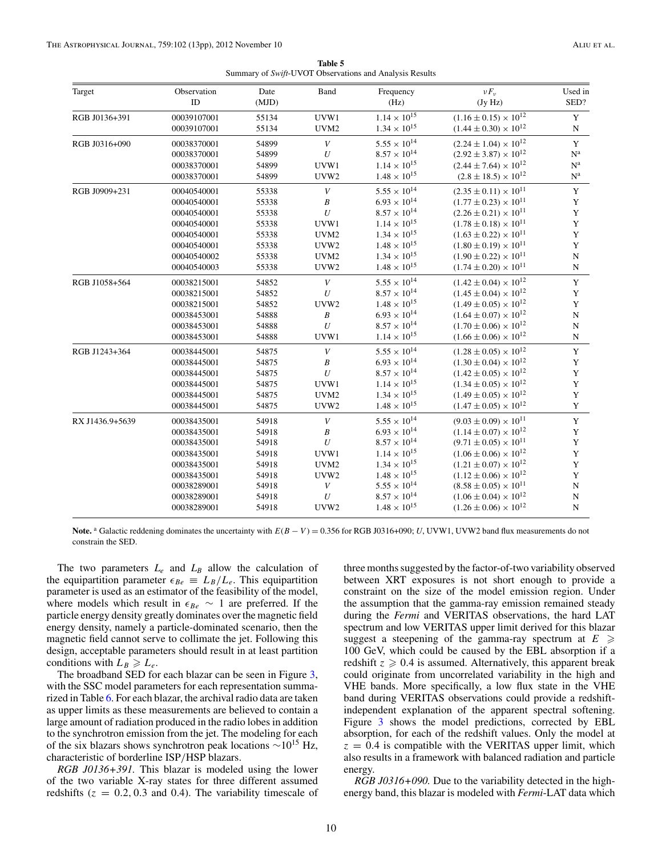| Table 5                                                 |
|---------------------------------------------------------|
| Summary of Swift-UVOT Observations and Analysis Results |

<span id="page-10-0"></span>

| Target          | Observation<br>ID | Date<br>(MJD) | Band             | Frequency<br>(Hz)     | $\nu F_{\nu}$<br>(Jy Hz)         | Used in<br>SED? |
|-----------------|-------------------|---------------|------------------|-----------------------|----------------------------------|-----------------|
| RGB J0136+391   | 00039107001       | 55134         | UVW1             | $1.14 \times 10^{15}$ | $(1.16 \pm 0.15) \times 10^{12}$ | $\mathbf Y$     |
|                 | 00039107001       | 55134         | UVM2             | $1.34 \times 10^{15}$ | $(1.44 \pm 0.30) \times 10^{12}$ | ${\bf N}$       |
| RGB J0316+090   | 00038370001       | 54899         | $\boldsymbol{V}$ | $5.55 \times 10^{14}$ | $(2.24 \pm 1.04) \times 10^{12}$ | $\mathbf Y$     |
|                 | 00038370001       | 54899         | U                | $8.57 \times 10^{14}$ | $(2.92 \pm 3.87) \times 10^{12}$ | $N^a$           |
|                 | 00038370001       | 54899         | UVW1             | $1.14 \times 10^{15}$ | $(2.44 \pm 7.64) \times 10^{12}$ | $N^a$           |
|                 | 00038370001       | 54899         | UVW2             | $1.48 \times 10^{15}$ | $(2.8 \pm 18.5) \times 10^{12}$  | $N^a$           |
| RGB J0909+231   | 00040540001       | 55338         | $\boldsymbol{V}$ | $5.55 \times 10^{14}$ | $(2.35 \pm 0.11) \times 10^{11}$ | $\mathbf Y$     |
|                 | 00040540001       | 55338         | $\boldsymbol{B}$ | $6.93 \times 10^{14}$ | $(1.77 \pm 0.23) \times 10^{11}$ | $\mathbf Y$     |
|                 | 00040540001       | 55338         | U                | $8.57 \times 10^{14}$ | $(2.26 \pm 0.21) \times 10^{11}$ | Y               |
|                 | 00040540001       | 55338         | UVW1             | $1.14 \times 10^{15}$ | $(1.78 \pm 0.18) \times 10^{11}$ | Y               |
|                 | 00040540001       | 55338         | UVM2             | $1.34 \times 10^{15}$ | $(1.63 \pm 0.22) \times 10^{11}$ | $\mathbf Y$     |
|                 | 00040540001       | 55338         | UVW2             | $1.48 \times 10^{15}$ | $(1.80 \pm 0.19) \times 10^{11}$ | Y               |
|                 | 00040540002       | 55338         | UVM2             | $1.34\times10^{15}$   | $(1.90 \pm 0.22) \times 10^{11}$ | $\mathbf N$     |
|                 | 00040540003       | 55338         | UVW2             | $1.48 \times 10^{15}$ | $(1.74 \pm 0.20) \times 10^{11}$ | ${\bf N}$       |
| RGB J1058+564   | 00038215001       | 54852         | $\boldsymbol{V}$ | $5.55 \times 10^{14}$ | $(1.42 \pm 0.04) \times 10^{12}$ | $\mathbf Y$     |
|                 | 00038215001       | 54852         | U                | $8.57 \times 10^{14}$ | $(1.45 \pm 0.04) \times 10^{12}$ | $\mathbf Y$     |
|                 | 00038215001       | 54852         | UVW2             | $1.48 \times 10^{15}$ | $(1.49 \pm 0.05) \times 10^{12}$ | $\mathbf Y$     |
|                 | 00038453001       | 54888         | $\boldsymbol{B}$ | $6.93 \times 10^{14}$ | $(1.64 \pm 0.07) \times 10^{12}$ | ${\bf N}$       |
|                 | 00038453001       | 54888         | U                | $8.57 \times 10^{14}$ | $(1.70 \pm 0.06) \times 10^{12}$ | ${\bf N}$       |
|                 | 00038453001       | 54888         | UVW1             | $1.14 \times 10^{15}$ | $(1.66 \pm 0.06) \times 10^{12}$ | ${\bf N}$       |
| RGB J1243+364   | 00038445001       | 54875         | V                | $5.55 \times 10^{14}$ | $(1.28 \pm 0.05) \times 10^{12}$ | $\mathbf Y$     |
|                 | 00038445001       | 54875         | $\boldsymbol{B}$ | $6.93 \times 10^{14}$ | $(1.30 \pm 0.04) \times 10^{12}$ | $\mathbf Y$     |
|                 | 00038445001       | 54875         | U                | $8.57 \times 10^{14}$ | $(1.42 \pm 0.05) \times 10^{12}$ | $\mathbf Y$     |
|                 | 00038445001       | 54875         | UVW1             | $1.14 \times 10^{15}$ | $(1.34 \pm 0.05) \times 10^{12}$ | $\mathbf Y$     |
|                 | 00038445001       | 54875         | UVM2             | $1.34 \times 10^{15}$ | $(1.49 \pm 0.05) \times 10^{12}$ | $\mathbf Y$     |
|                 | 00038445001       | 54875         | UVW2             | $1.48 \times 10^{15}$ | $(1.47 \pm 0.05) \times 10^{12}$ | $\mathbf Y$     |
| RX J1436.9+5639 | 00038435001       | 54918         | V                | $5.55 \times 10^{14}$ | $(9.03 \pm 0.09) \times 10^{11}$ | $\mathbf Y$     |
|                 | 00038435001       | 54918         | $\boldsymbol{B}$ | $6.93 \times 10^{14}$ | $(1.14 \pm 0.07) \times 10^{12}$ | $\mathbf Y$     |
|                 | 00038435001       | 54918         | $\cal U$         | $8.57 \times 10^{14}$ | $(9.71 \pm 0.05) \times 10^{11}$ | $\mathbf Y$     |
|                 | 00038435001       | 54918         | UVW1             | $1.14 \times 10^{15}$ | $(1.06 \pm 0.06) \times 10^{12}$ | Y               |
|                 | 00038435001       | 54918         | UVM2             | $1.34 \times 10^{15}$ | $(1.21 \pm 0.07) \times 10^{12}$ | Y               |
|                 | 00038435001       | 54918         | UVW2             | $1.48 \times 10^{15}$ | $(1.12 \pm 0.06) \times 10^{12}$ | Y               |
|                 | 00038289001       | 54918         | $\boldsymbol{V}$ | $5.55 \times 10^{14}$ | $(8.58 \pm 0.05) \times 10^{11}$ | ${\bf N}$       |
|                 | 00038289001       | 54918         | U                | $8.57 \times 10^{14}$ | $(1.06 \pm 0.04) \times 10^{12}$ | ${\bf N}$       |
|                 | 00038289001       | 54918         | UVW2             | $1.48 \times 10^{15}$ | $(1.26 \pm 0.06) \times 10^{12}$ | $\mathbf N$     |

Note. <sup>a</sup> Galactic reddening dominates the uncertainty with  $E(B - V) = 0.356$  for RGB J0316+090; *U*, UVW1, UVW2 band flux measurements do not constrain the SED.

The two parameters  $L_e$  and  $L_B$  allow the calculation of the equipartition parameter  $\epsilon_{Be} \equiv L_B/L_e$ . This equipartition parameter is used as an estimator of the feasibility of the model, where models which result in  $\epsilon_{Be} \sim 1$  are preferred. If the particle energy density greatly dominates over the magnetic field energy density, namely a particle-dominated scenario, then the magnetic field cannot serve to collimate the jet. Following this design, acceptable parameters should result in at least partition conditions with  $L_B \geqslant L_e$ .

The broadband SED for each blazar can be seen in Figure [3,](#page-8-0) with the SSC model parameters for each representation summarized in Table [6.](#page-11-0) For each blazar, the archival radio data are taken as upper limits as these measurements are believed to contain a large amount of radiation produced in the radio lobes in addition to the synchrotron emission from the jet. The modeling for each of the six blazars shows synchrotron peak locations  $\sim$ 10<sup>15</sup> Hz, characteristic of borderline ISP*/*HSP blazars.

*RGB J0136+391.* This blazar is modeled using the lower of the two variable X-ray states for three different assumed redshifts  $(z = 0.2, 0.3, 0.4)$ . The variability timescale of three months suggested by the factor-of-two variability observed between XRT exposures is not short enough to provide a constraint on the size of the model emission region. Under the assumption that the gamma-ray emission remained steady during the *Fermi* and VERITAS observations, the hard LAT spectrum and low VERITAS upper limit derived for this blazar suggest a steepening of the gamma-ray spectrum at  $E \geqslant$ 100 GeV, which could be caused by the EBL absorption if a redshift  $z \geqslant 0.4$  is assumed. Alternatively, this apparent break could originate from uncorrelated variability in the high and VHE bands. More specifically, a low flux state in the VHE band during VERITAS observations could provide a redshiftindependent explanation of the apparent spectral softening. Figure [3](#page-8-0) shows the model predictions, corrected by EBL absorption, for each of the redshift values. Only the model at  $z = 0.4$  is compatible with the VERITAS upper limit, which also results in a framework with balanced radiation and particle energy.

*RGB J0316+090.* Due to the variability detected in the highenergy band, this blazar is modeled with *Fermi*-LAT data which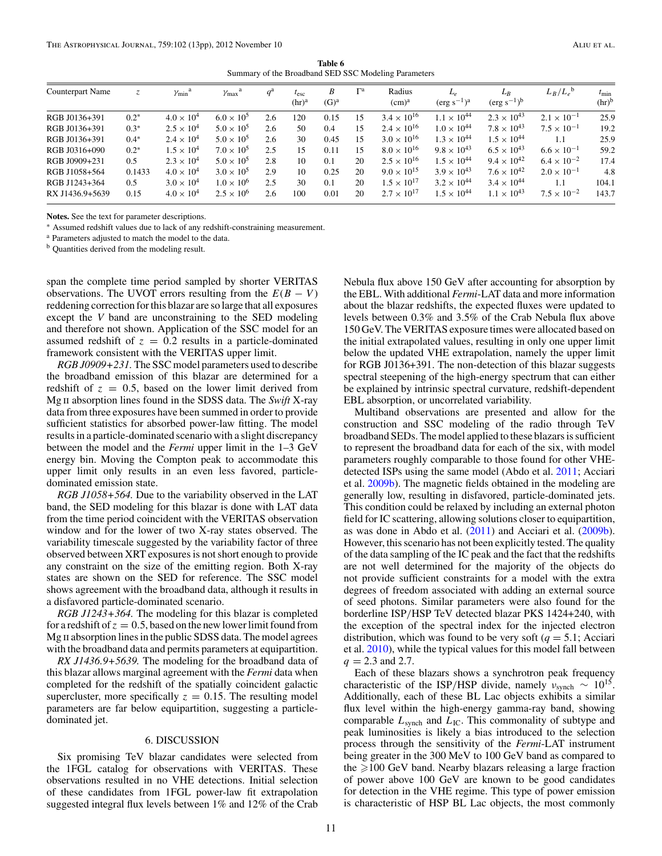**Table 6** Summary of the Broadband SED SSC Modeling Parameters

<span id="page-11-0"></span>

| <b>Counterpart Name</b> | Z.     | $\gamma_{\min}^{\text{a}}$ | $\gamma_{\text{max}}^{\text{a}}$ | $q^{\rm a}$ | $t_{\rm esc}$<br>$(hr)^a$ | B<br>(G) <sup>a</sup> | $\Gamma$ <sup>a</sup> | Radius<br>(cm) <sup>a</sup> | $L_{\rho}$<br>$(\text{erg } s^{-1})^a$ | $L_B$<br>$(\text{erg } s^{-1})^b$ | $L_R/L_e^{\text{b}}$ | $t_{\rm min}$<br>$(hr)^b$ |
|-------------------------|--------|----------------------------|----------------------------------|-------------|---------------------------|-----------------------|-----------------------|-----------------------------|----------------------------------------|-----------------------------------|----------------------|---------------------------|
| RGB J0136+391           | $0.2*$ | $4.0 \times 10^{4}$        | $6.0 \times 10^{5}$              | 2.6         | 120                       | 0.15                  | 15                    | $3.4 \times 10^{16}$        | $1.1 \times 10^{44}$                   | $2.3 \times 10^{43}$              | $2.1 \times 10^{-1}$ | 25.9                      |
| RGB J0136+391           | $0.3*$ | $2.5 \times 10^{4}$        | $5.0 \times 10^5$                | 2.6         | 50                        | 0.4                   | 15                    | $2.4 \times 10^{16}$        | $1.0 \times 10^{44}$                   | $7.8 \times 10^{43}$              | $7.5 \times 10^{-1}$ | 19.2                      |
| RGB J0136+391           | $0.4*$ | $2.4 \times 10^{4}$        | $5.0 \times 10^{5}$              | 2.6         | 30                        | 0.45                  | 15                    | $3.0 \times 10^{16}$        | $1.3 \times 10^{44}$                   | $1.5 \times 10^{44}$              | 1.1                  | 25.9                      |
| RGB J0316+090           | $0.2*$ | $1.5 \times 10^{4}$        | $7.0 \times 10^5$                | 2.5         | 15                        | 0.11                  | 15                    | $8.0 \times 10^{16}$        | $9.8 \times 10^{43}$                   | $6.5 \times 10^{43}$              | $6.6 \times 10^{-1}$ | 59.2                      |
| RGB J0909+231           | 0.5    | $2.3 \times 10^{4}$        | $5.0 \times 10^{5}$              | 2.8         | 10                        | 0.1                   | 20                    | $2.5 \times 10^{16}$        | $1.5 \times 10^{44}$                   | $9.4 \times 10^{42}$              | $6.4 \times 10^{-2}$ | 17.4                      |
| RGB J1058+564           | 0.1433 | $4.0 \times 10^{4}$        | $3.0 \times 10^{5}$              | 2.9         | 10                        | 0.25                  | 20                    | $9.0 \times 10^{15}$        | $3.9 \times 10^{43}$                   | $7.6 \times 10^{42}$              | $2.0 \times 10^{-1}$ | 4.8                       |
| RGB J1243+364           | 0.5    | $3.0 \times 10^{4}$        | $1.0 \times 10^{6}$              | 2.5         | 30                        | 0.1                   | 20                    | $1.5 \times 10^{17}$        | $3.2 \times 10^{44}$                   | $3.4 \times 10^{44}$              | 1.1                  | 104.1                     |
| RX J1436.9+5639         | 0.15   | $4.0 \times 10^{4}$        | $2.5 \times 10^{6}$              | 2.6         | 100                       | 0.01                  | 20                    | $2.7 \times 10^{17}$        | $1.5 \times 10^{44}$                   | $1.1 \times 10^{43}$              | $7.5 \times 10^{-2}$ | 143.7                     |

**Notes.** See the text for parameter descriptions.

∗ Assumed redshift values due to lack of any redshift-constraining measurement.

<sup>a</sup> Parameters adjusted to match the model to the data.

<sup>b</sup> Quantities derived from the modeling result.

span the complete time period sampled by shorter VERITAS observations. The UVOT errors resulting from the  $E(B - V)$ reddening correction for this blazar are so large that all exposures except the *V* band are unconstraining to the SED modeling and therefore not shown. Application of the SSC model for an assumed redshift of  $z = 0.2$  results in a particle-dominated framework consistent with the VERITAS upper limit.

*RGB J0909+231.* The SSC model parameters used to describe the broadband emission of this blazar are determined for a redshift of  $z = 0.5$ , based on the lower limit derived from Mg ii absorption lines found in the SDSS data. The *Swift* X-ray data from three exposures have been summed in order to provide sufficient statistics for absorbed power-law fitting. The model results in a particle-dominated scenario with a slight discrepancy between the model and the *Fermi* upper limit in the 1–3 GeV energy bin. Moving the Compton peak to accommodate this upper limit only results in an even less favored, particledominated emission state.

*RGB J1058+564.* Due to the variability observed in the LAT band, the SED modeling for this blazar is done with LAT data from the time period coincident with the VERITAS observation window and for the lower of two X-ray states observed. The variability timescale suggested by the variability factor of three observed between XRT exposures is not short enough to provide any constraint on the size of the emitting region. Both X-ray states are shown on the SED for reference. The SSC model shows agreement with the broadband data, although it results in a disfavored particle-dominated scenario.

*RGB J1243+364.* The modeling for this blazar is completed for a redshift of  $z = 0.5$ , based on the new lower limit found from Mg ii absorption lines in the public SDSS data. The model agrees with the broadband data and permits parameters at equipartition.

*RX J1436.9+5639.* The modeling for the broadband data of this blazar allows marginal agreement with the *Fermi* data when completed for the redshift of the spatially coincident galactic supercluster, more specifically  $z = 0.15$ . The resulting model parameters are far below equipartition, suggesting a particledominated jet.

#### 6. DISCUSSION

Six promising TeV blazar candidates were selected from the 1FGL catalog for observations with VERITAS. These observations resulted in no VHE detections. Initial selection of these candidates from 1FGL power-law fit extrapolation suggested integral flux levels between 1% and 12% of the Crab

Nebula flux above 150 GeV after accounting for absorption by the EBL. With additional *Fermi*-LAT data and more information about the blazar redshifts, the expected fluxes were updated to levels between 0.3% and 3.5% of the Crab Nebula flux above 150 GeV. The VERITAS exposure times were allocated based on the initial extrapolated values, resulting in only one upper limit below the updated VHE extrapolation, namely the upper limit for RGB J0136+391. The non-detection of this blazar suggests spectral steepening of the high-energy spectrum that can either be explained by intrinsic spectral curvature, redshift-dependent EBL absorption, or uncorrelated variability.

Multiband observations are presented and allow for the construction and SSC modeling of the radio through TeV broadband SEDs. The model applied to these blazars is sufficient to represent the broadband data for each of the six, with model parameters roughly comparable to those found for other VHEdetected ISPs using the same model (Abdo et al. [2011;](#page-12-0) Acciari et al. [2009b\)](#page-12-0). The magnetic fields obtained in the modeling are generally low, resulting in disfavored, particle-dominated jets. This condition could be relaxed by including an external photon field for IC scattering, allowing solutions closer to equipartition, as was done in Abdo et al.  $(2011)$  and Acciari et al.  $(2009b)$ . However, this scenario has not been explicitly tested. The quality of the data sampling of the IC peak and the fact that the redshifts are not well determined for the majority of the objects do not provide sufficient constraints for a model with the extra degrees of freedom associated with adding an external source of seed photons. Similar parameters were also found for the borderline ISP*/*HSP TeV detected blazar PKS 1424+240, with the exception of the spectral index for the injected electron distribution, which was found to be very soft  $(q = 5.1;$  Acciari et al. [2010\)](#page-12-0), while the typical values for this model fall between  $q = 2.3$  and 2.7.

Each of these blazars shows a synchrotron peak frequency characteristic of the ISP/HSP divide, namely  $v_{\text{synch}} \sim 10^{15}$ . Additionally, each of these BL Lac objects exhibits a similar flux level within the high-energy gamma-ray band, showing comparable *L*synch and *L*IC. This commonality of subtype and peak luminosities is likely a bias introduced to the selection process through the sensitivity of the *Fermi*-LAT instrument being greater in the 300 MeV to 100 GeV band as compared to the  $\geqslant$  100 GeV band. Nearby blazars releasing a large fraction of power above 100 GeV are known to be good candidates for detection in the VHE regime. This type of power emission is characteristic of HSP BL Lac objects, the most commonly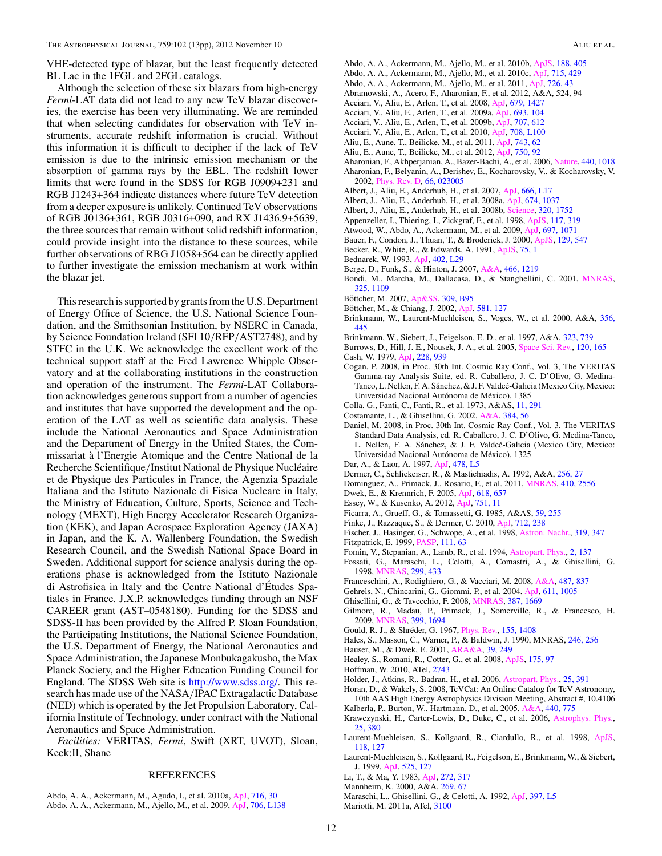<span id="page-12-0"></span>VHE-detected type of blazar, but the least frequently detected BL Lac in the 1FGL and 2FGL catalogs.

Although the selection of these six blazars from high-energy *Fermi*-LAT data did not lead to any new TeV blazar discoveries, the exercise has been very illuminating. We are reminded that when selecting candidates for observation with TeV instruments, accurate redshift information is crucial. Without this information it is difficult to decipher if the lack of TeV emission is due to the intrinsic emission mechanism or the absorption of gamma rays by the EBL. The redshift lower limits that were found in the SDSS for RGB J0909+231 and RGB J1243+364 indicate distances where future TeV detection from a deeper exposure is unlikely. Continued TeV observations of RGB J0136+361, RGB J0316+090, and RX J1436.9+5639, the three sources that remain without solid redshift information, could provide insight into the distance to these sources, while further observations of RBG J1058+564 can be directly applied to further investigate the emission mechanism at work within the blazar jet.

This research is supported by grants from the U.S. Department of Energy Office of Science, the U.S. National Science Foundation, and the Smithsonian Institution, by NSERC in Canada, by Science Foundation Ireland (SFI 10*/*RFP*/*AST2748), and by STFC in the U.K. We acknowledge the excellent work of the technical support staff at the Fred Lawrence Whipple Observatory and at the collaborating institutions in the construction and operation of the instrument. The *Fermi*-LAT Collaboration acknowledges generous support from a number of agencies and institutes that have supported the development and the operation of the LAT as well as scientific data analysis. These include the National Aeronautics and Space Administration and the Department of Energy in the United States, the Commissariat a l'Energie Atomique and the Centre National de la ` Recherche Scientifique*/*Institut National de Physique Nucleaire ´ et de Physique des Particules in France, the Agenzia Spaziale Italiana and the Istituto Nazionale di Fisica Nucleare in Italy, the Ministry of Education, Culture, Sports, Science and Technology (MEXT), High Energy Accelerator Research Organization (KEK), and Japan Aerospace Exploration Agency (JAXA) in Japan, and the K. A. Wallenberg Foundation, the Swedish Research Council, and the Swedish National Space Board in Sweden. Additional support for science analysis during the operations phase is acknowledged from the Istituto Nazionale di Astrofisica in Italy and the Centre National d'Etudes Spa- ´ tiales in France. J.X.P. acknowledges funding through an NSF CAREER grant (AST–0548180). Funding for the SDSS and SDSS-II has been provided by the Alfred P. Sloan Foundation, the Participating Institutions, the National Science Foundation, the U.S. Department of Energy, the National Aeronautics and Space Administration, the Japanese Monbukagakusho, the Max Planck Society, and the Higher Education Funding Council for England. The SDSS Web site is [http://www.sdss.org/.](http://www.sdss.org/) This research has made use of the NASA*/*IPAC Extragalactic Database (NED) which is operated by the Jet Propulsion Laboratory, California Institute of Technology, under contract with the National Aeronautics and Space Administration.

*Facilities:* VERITAS, *Fermi*, Swift (XRT, UVOT), Sloan, Keck:II, Shane

#### REFERENCES

Abdo, A. A., Ackermann, M., Agudo, I., et al. 2010a, [ApJ,](http://dx.doi.org/10.1088/0004-637X/716/1/30) [716, 30](http://adsabs.harvard.edu/abs/2010ApJ...716...30A) Abdo, A. A., Ackermann, M., Ajello, M., et al. 2009, [ApJ,](http://dx.doi.org/10.1088/0004-637X/706/1/L138) [706, L138](http://adsabs.harvard.edu/abs/2009ApJ...706L.138A)

- Abdo, A. A., Ackermann, M., Ajello, M., et al. 2010b, [ApJS,](http://dx.doi.org/10.1088/0067-0049/188/2/405) [188, 405](http://adsabs.harvard.edu/abs/2010ApJS..188..405A)
- Abdo, A. A., Ackermann, M., Ajello, M., et al. 2010c, [ApJ,](http://dx.doi.org/10.1088/0004-637X/715/1/429) [715, 429](http://adsabs.harvard.edu/abs/2010ApJ...715..429A)
- Abdo, A. A., Ackermann, M., Ajello, M., et al. 2011, [ApJ,](http://dx.doi.org/10.1088/0004-637X/726/1/43) [726, 43](http://adsabs.harvard.edu/abs/2011ApJ...726...43A)
- Abramowski, A., Acero, F., Aharonian, F., et al. 2012, A&A, 524, 94
- Acciari, V., Aliu, E., Arlen, T., et al. 2008, [ApJ,](http://dx.doi.org/10.1086/587736) [679, 1427](http://adsabs.harvard.edu/abs/2008ApJ...679.1427A)
- Acciari, V., Aliu, E., Arlen, T., et al. 2009a, [ApJ,](http://dx.doi.org/10.1088/0004-637X/693/2/L104) [693, 104](http://adsabs.harvard.edu/abs/2009ApJ...693L.104A) Acciari, V., Aliu, E., Arlen, T., et al. 2009b, [ApJ,](http://dx.doi.org/10.1088/0004-637X/707/1/612) [707, 612](http://adsabs.harvard.edu/abs/2009ApJ...707..612A)
- Acciari, V., Aliu, E., Arlen, T., et al. 2010, [ApJ,](http://dx.doi.org/10.1088/2041-8205/708/2/L100) [708, L100](http://adsabs.harvard.edu/abs/2010ApJ...708L.100A)
- Aliu, E., Aune, T., Beilicke, M., et al. 2011, [ApJ,](http://dx.doi.org/10.1088/0004-637X/743/1/62) [743, 62](http://adsabs.harvard.edu/abs/2011ApJ...743...62A)
- Aliu, E., Aune, T., Beilicke, M., et al. 2012, [ApJ,](http://dx.doi.org/10.1088/0004-637X/750/2/94) [750, 92](http://adsabs.harvard.edu/abs/2012ApJ...750...94A)
- Aharonian, F., Akhperjanian, A., Bazer-Bachi, A., et al. 2006, [Nature,](http://dx.doi.org/10.1038/nature04680) [440, 1018](http://adsabs.harvard.edu/abs/2006Natur.440.1018A)
- Aharonian, F., Belyanin, A., Derishev, E., Kocharovsky, V., & Kocharovsky, V. 2002, [Phys. Rev. D,](http://dx.doi.org/10.1103/PhysRevD.66.023005) [66, 023005](http://adsabs.harvard.edu/abs/2002PhRvD..66b3005A)
- Albert, J., Aliu, E., Anderhub, H., et al. 2007, [ApJ,](http://dx.doi.org/10.1086/521550) [666, L17](http://adsabs.harvard.edu/abs/2007ApJ...666L..17A)
- Albert, J., Aliu, E., Anderhub, H., et al. 2008a, [ApJ,](http://dx.doi.org/10.1086/525270) [674, 1037](http://adsabs.harvard.edu/abs/2008ApJ...674.1037A)
- Albert, J., Aliu, E., Anderhub, H., et al. 2008b, [Science,](http://dx.doi.org/10.1126/science.1157087) [320, 1752](http://adsabs.harvard.edu/abs/2008Sci...320.1752M)
- Appenzeller, I., Thiering, I., Zickgraf, F., et al. 1998, [ApJS,](http://dx.doi.org/10.1086/313125) [117, 319](http://adsabs.harvard.edu/abs/1998ApJS..117..319A)
- Atwood, W., Abdo, A., Ackermann, M., et al. 2009, [ApJ,](http://dx.doi.org/10.1088/0004-637X/697/2/1071) [697, 1071](http://adsabs.harvard.edu/abs/2009ApJ...697.1071A)
- Bauer, F., Condon, J., Thuan, T., & Broderick, J. 2000, [ApJS,](http://dx.doi.org/10.1086/313425) [129, 547](http://adsabs.harvard.edu/abs/2000ApJS..129..547B)
- Becker, R., White, R., & Edwards, A. 1991, [ApJS,](http://dx.doi.org/10.1086/191529) [75, 1](http://adsabs.harvard.edu/abs/1991ApJS...75....1B)
- Bednarek, W. 1993, [ApJ,](http://dx.doi.org/10.1086/186692) [402, L29](http://adsabs.harvard.edu/abs/1993ApJ...402L..29B)
- Berge, D., Funk, S., & Hinton, J. 2007, [A&A,](http://dx.doi.org/10.1051/0004-6361:20066674) [466, 1219](http://adsabs.harvard.edu/abs/2007A&A...466.1219B) Bondi, M., Marcha, M., Dallacasa, D., & Stanghellini, C. 2001, [MNRAS,](http://dx.doi.org/10.1046/j.1365-8711.2001.04519.x)
- [325, 1109](http://adsabs.harvard.edu/abs/2001MNRAS.325.1109B)
- Böttcher, M. 2007, [Ap&SS,](http://dx.doi.org/10.1007/s10509-007-9404-0) [309, B95](http://adsabs.harvard.edu/abs/2007Ap&SS.309...95B)
- Böttcher, M., & Chiang, J. 2002, [ApJ,](http://dx.doi.org/10.1086/344155) [581, 127](http://adsabs.harvard.edu/abs/2002ApJ...581..127B)
- Brinkmann, W., Laurent-Muehleisen, S., Voges, W., et al. 2000, A&A, [356,](http://adsabs.harvard.edu/abs/2000A&A...356..445B) [445](http://adsabs.harvard.edu/abs/2000A&A...356..445B)
- Brinkmann, W., Siebert, J., Feigelson, E. D., et al. 1997, A&A, [323, 739](http://adsabs.harvard.edu/abs/1997A&A...323..739B)
- Burrows, D., Hill, J. E., Nousek, J. A., et al. 2005, [Space Sci. Rev.,](http://dx.doi.org/10.1007/s11214-005-5097-2) [120, 165](http://adsabs.harvard.edu/abs/2005SSRv..120..165B)
- Cash, W. 1979, [ApJ,](http://dx.doi.org/10.1086/156922) [228, 939](http://adsabs.harvard.edu/abs/1979ApJ...228..939C)
- Cogan, P. 2008, in Proc. 30th Int. Cosmic Ray Conf., Vol. 3, The VERITAS Gamma-ray Analysis Suite, ed. R. Caballero, J. C. D'Olivo, G. Medina-Tanco, L. Nellen, F. A. Sánchez, & J. F. Valdeé-Galicia (Mexico City, Mexico: Universidad Nacional Autónoma de México), 1385
- Colla, G., Fanti, C., Fanti, R., et al. 1973, A&AS, [11, 291](http://adsabs.harvard.edu/abs/1973A&AS...11..291C)
- Costamante, L., & Ghisellini, G. 2002, [A&A,](http://dx.doi.org/10.1051/0004-6361:20011749) [384, 56](http://adsabs.harvard.edu/abs/2002A&A...384...56C)
- Daniel, M. 2008, in Proc. 30th Int. Cosmic Ray Conf., Vol. 3, The VERITAS Standard Data Analysis, ed. R. Caballero, J. C. D'Olivo, G. Medina-Tanco, L. Nellen, F. A. Sánchez, & J. F. Valdeé-Galicia (Mexico City, Mexico: Universidad Nacional Autónoma de México), 1325
- Dar, A., & Laor, A. 1997, [ApJ,](http://dx.doi.org/10.1086/310544) [478, L5](http://adsabs.harvard.edu/abs/1997ApJ...478L...5D)
- Dermer, C., Schlickeiser, R., & Mastichiadis, A. 1992, A&A, [256, 27](http://adsabs.harvard.edu/abs/1992A&A...256L..27D)
- Dominguez, A., Primack, J., Rosario, F., et al. 2011, [MNRAS,](http://dx.doi.org/10.1111/j.1365-2966.2010.17631.x) [410, 2556](http://adsabs.harvard.edu/abs/2011MNRAS.410.2556D)
- Dwek, E., & Krennrich, F. 2005, [ApJ,](http://dx.doi.org/10.1086/426010) [618, 657](http://adsabs.harvard.edu/abs/2005ApJ...618..657D)
- Essey, W., & Kusenko, A. 2012, [ApJ,](http://dx.doi.org/10.1088/2041-8205/751/1/L11) [751, 11](http://adsabs.harvard.edu/abs/2012ApJ...751L..11E)
- Ficarra, A., Grueff, G., & Tomassetti, G. 1985, A&AS, [59, 255](http://adsabs.harvard.edu/abs/1985A&AS...59..255F)
- Finke, J., Razzaque, S., & Dermer, C. 2010, [ApJ,](http://dx.doi.org/10.1088/0004-637X/712/1/238) [712, 238](http://adsabs.harvard.edu/abs/2010ApJ...712..238F)
- Fischer, J., Hasinger, G., Schwope, A., et al. 1998, [Astron. Nachr.,](http://dx.doi.org/10.1002/asna.2123190603) [319, 347](http://adsabs.harvard.edu/abs/1998AN....319..347F) Fitzpatrick, E. 1999, [PASP,](http://dx.doi.org/10.1086/316293) [111, 63](http://adsabs.harvard.edu/abs/1999PASP..111...63F)
- Fomin, V., Stepanian, A., Lamb, R., et al. 1994, [Astropart. Phys.,](http://dx.doi.org/10.1016/0927-6505(94)90036-1) [2, 137](http://adsabs.harvard.edu/abs/1994APh.....2..137F)
- Fossati, G., Maraschi, L., Celotti, A., Comastri, A., & Ghisellini, G. 1998, [MNRAS,](http://dx.doi.org/10.1046/j.1365-8711.1998.01828.x) [299, 433](http://adsabs.harvard.edu/abs/1998MNRAS.299..433F)
- Franceschini, A., Rodighiero, G., & Vacciari, M. 2008, [A&A,](http://dx.doi.org/10.1051/0004-6361:200809691) [487, 837](http://adsabs.harvard.edu/abs/2008A&A...487..837F)
- Gehrels, N., Chincarini, G., Giommi, P., et al. 2004, [ApJ,](http://dx.doi.org/10.1086/422091) [611, 1005](http://adsabs.harvard.edu/abs/2004ApJ...611.1005G)
- Ghisellini, G., & Tavecchio, F. 2008, [MNRAS,](http://dx.doi.org/10.1111/j.1365-2966.2008.13360.x) [387, 1669](http://adsabs.harvard.edu/abs/2008MNRAS.387.1669G)
- Gilmore, R., Madau, P., Primack, J., Somerville, R., & Francesco, H. 2009, [MNRAS,](http://dx.doi.org/10.1111/j.1365-2966.2009.15392.x) [399, 1694](http://adsabs.harvard.edu/abs/2009MNRAS.399.1694G)
- Gould, R. J., & Shréder, G. 1967, *Phys. Rev.*, [155, 1408](http://adsabs.harvard.edu/abs/1967PhRv..155.1408G)
- Hales, S., Masson, C., Warner, P., & Baldwin, J. 1990, MNRAS, [246, 256](http://adsabs.harvard.edu/abs/1990MNRAS.246..256H)
- Hauser, M., & Dwek, E. 2001, [ARA&A,](http://dx.doi.org/10.1146/annurev.astro.39.1.249) [39, 249](http://adsabs.harvard.edu/abs/2001ARA&A..39..249H)
- Healey, S., Romani, R., Cotter, G., et al. 2008, [ApJS,](http://dx.doi.org/10.1086/523302) [175, 97](http://adsabs.harvard.edu/abs/2008ApJS..175...97H)
- Hoffman, W. 2010, ATel, [2743](http://adsabs.harvard.edu/abs/2010ATel.2743....1H)
- Holder, J., Atkins, R., Badran, H., et al. 2006, [Astropart. Phys.,](http://dx.doi.org/10.1016/j.astropartphys.2006.04.002) [25, 391](http://adsabs.harvard.edu/abs/2006APh....25..391H)
- Horan, D., & Wakely, S. 2008, TeVCat: An Online Catalog for TeV Astronomy, 10th AAS High Energy Astrophysics Division Meeting, Abstract #, 10.4106 Kalberla, P., Burton, W., Hartmann, D., et al. 2005, [A&A,](http://dx.doi.org/10.1051/0004-6361:20041864) [440, 775](http://adsabs.harvard.edu/abs/2005A&A...440..775K)
- Krawczynski, H., Carter-Lewis, D., Duke, C., et al. 2006, [Astrophys. Phys.,](http://dx.doi.org/10.1016/j.astropartphys.2006.03.011) [25, 380](http://adsabs.harvard.edu/abs/2006APh....25..380K)
- Laurent-Muehleisen, S., Kollgaard, R., Ciardullo, R., et al. 1998, [ApJS,](http://dx.doi.org/10.1086/313134) [118, 127](http://adsabs.harvard.edu/abs/1998ApJS..118..127L)
- Laurent-Muehleisen, S., Kollgaard, R., Feigelson, E., Brinkmann, W., & Siebert, J. 1999, [ApJ,](http://dx.doi.org/10.1086/307881) [525, 127](http://adsabs.harvard.edu/abs/1999ApJ...525..127L)
- Li, T., & Ma, Y. 1983, [ApJ,](http://dx.doi.org/10.1086/161295) [272, 317](http://adsabs.harvard.edu/abs/1983ApJ...272..317L)
- Mannheim, K. 2000, A&A, [269, 67](http://adsabs.harvard.edu/abs/1993A&A...269...67M)
- Maraschi, L., Ghisellini, G., & Celotti, A. 1992, [ApJ,](http://dx.doi.org/10.1086/186531) [397, L5](http://adsabs.harvard.edu/abs/1992ApJ...397L...5M)
- Mariotti, M. 2011a, ATel, [3100](http://adsabs.harvard.edu/abs/2011ATel.3100....1M)